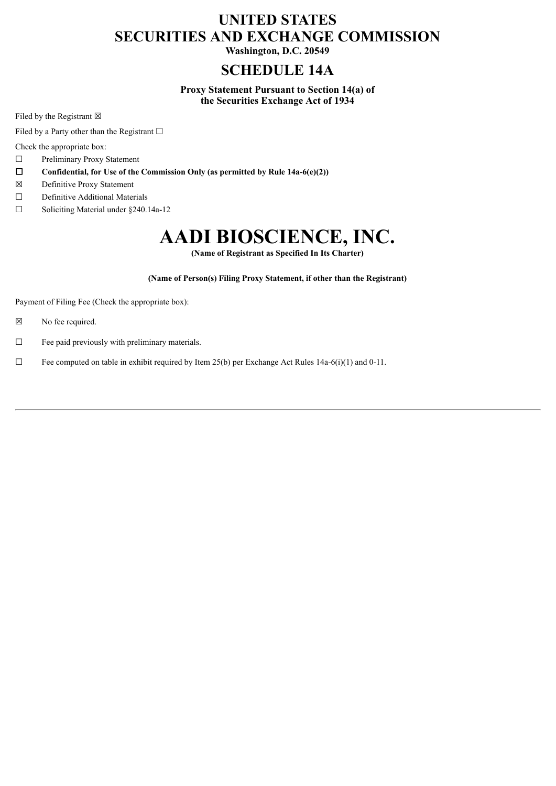# **UNITED STATES SECURITIES AND EXCHANGE COMMISSION**

**Washington, D.C. 20549**

# **SCHEDULE 14A**

**Proxy Statement Pursuant to Section 14(a) of the Securities Exchange Act of 1934**

Filed by the Registrant  $\boxtimes$ 

Filed by a Party other than the Registrant  $□$ 

Check the appropriate box:

☐ Preliminary Proxy Statement

- ☐ **Confidential, for Use of the Commission Only (as permitted by Rule 14a-6(e)(2))**
- ☒ Definitive Proxy Statement
- ☐ Definitive Additional Materials
- ☐ Soliciting Material under §240.14a-12

# **AADI BIOSCIENCE, INC.**

**(Name of Registrant as Specified In Its Charter)**

**(Name of Person(s) Filing Proxy Statement, if other than the Registrant)**

Payment of Filing Fee (Check the appropriate box):

- ☒ No fee required.
- $\Box$  Fee paid previously with preliminary materials.
- $\Box$  Fee computed on table in exhibit required by Item 25(b) per Exchange Act Rules 14a-6(i)(1) and 0-11.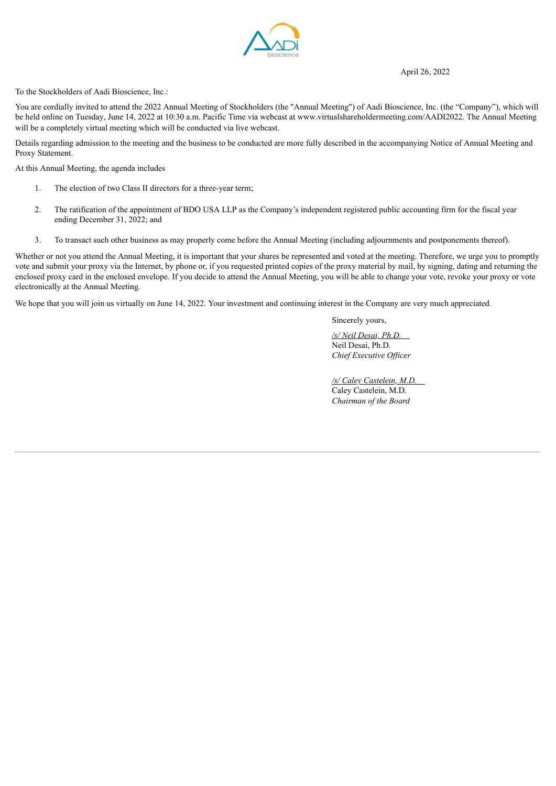#### April 26, 2022



To the Stockholders of Aadi Bioscience, Inc.:

You are cordially invited to attend the 2022 Annual Meeting of Stockholders (the "Annual Meeting") of Aadi Bioscience, Inc. (the "Company"), which will be held online on Tuesday, June 14, 2022 at 10:30 a.m. Pacific Time via webcast at www.virtualshareholdermeeting.com/AADI2022. The Annual Meeting will be a completely virtual meeting which will be conducted via live webcast.

Details regarding admission to the meeting and the business to be conducted are more fully described in the accompanying Notice of Annual Meeting and Proxy Statement.

At this Annual Meeting, the agenda includes

- 1. The election of two Class II directors for a three-year term;
- 2. The ratification of the appointment of BDO USA LLP as the Company's independent registered public accounting firm for the fiscal year ending December 31, 2022; and
- 3. To transact such other business as may properly come before the Annual Meeting (including adjournments and postponements thereof).

Whether or not you attend the Annual Meeting, it is important that your shares be represented and voted at the meeting. Therefore, we urge you to promptly vote and submit your proxy via the Internet, by phone or, if you requested printed copies of the proxy material by mail, by signing, dating and returning the enclosed proxy card in the enclosed envelope. If you decide to attend the Annual Meeting, you will be able to change your vote, revoke your proxy or vote electronically at the Annual Meeting.

We hope that you will join us virtually on June 14, 2022. Your investment and continuing interest in the Company are very much appreciated.

Sincerely yours,

*/s/ Neil Desai, Ph.D.* Neil Desai, Ph.D. *Chief Executive Of icer*

*/s/ Caley Castelein, M.D.* Caley Castelein, M.D. *Chairman of the Board*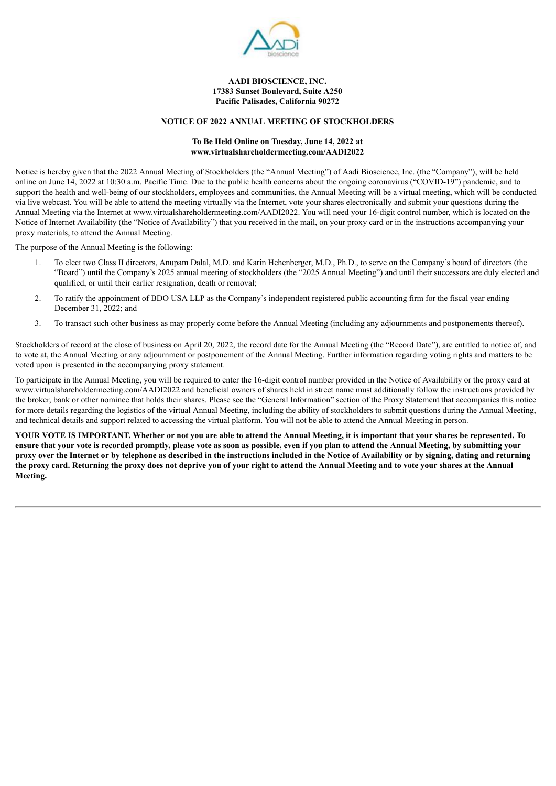

## **AADI BIOSCIENCE, INC. 17383 Sunset Boulevard, Suite A250 Pacific Palisades, California 90272**

# **NOTICE OF 2022 ANNUAL MEETING OF STOCKHOLDERS**

#### **To Be Held Online on Tuesday, June 14, 2022 at www.virtualshareholdermeeting.com/AADI2022**

Notice is hereby given that the 2022 Annual Meeting of Stockholders (the "Annual Meeting") of Aadi Bioscience, Inc. (the "Company"), will be held online on June 14, 2022 at 10:30 a.m. Pacific Time. Due to the public health concerns about the ongoing coronavirus ("COVID-19") pandemic, and to support the health and well-being of our stockholders, employees and communities, the Annual Meeting will be a virtual meeting, which will be conducted via live webcast. You will be able to attend the meeting virtually via the Internet, vote your shares electronically and submit your questions during the Annual Meeting via the Internet at www.virtualshareholdermeeting.com/AADI2022. You will need your 16-digit control number, which is located on the Notice of Internet Availability (the "Notice of Availability") that you received in the mail, on your proxy card or in the instructions accompanying your proxy materials, to attend the Annual Meeting.

The purpose of the Annual Meeting is the following:

- 1. To elect two Class II directors, Anupam Dalal, M.D. and Karin Hehenberger, M.D., Ph.D., to serve on the Company's board of directors (the "Board") until the Company's 2025 annual meeting of stockholders (the "2025 Annual Meeting") and until their successors are duly elected and qualified, or until their earlier resignation, death or removal;
- 2. To ratify the appointment of BDO USA LLP as the Company's independent registered public accounting firm for the fiscal year ending December 31, 2022; and
- 3. To transact such other business as may properly come before the Annual Meeting (including any adjournments and postponements thereof).

Stockholders of record at the close of business on April 20, 2022, the record date for the Annual Meeting (the "Record Date"), are entitled to notice of, and to vote at, the Annual Meeting or any adjournment or postponement of the Annual Meeting. Further information regarding voting rights and matters to be voted upon is presented in the accompanying proxy statement.

To participate in the Annual Meeting, you will be required to enter the 16-digit control number provided in the Notice of Availability or the proxy card at www.virtualshareholdermeeting.com/AADI2022 and beneficial owners of shares held in street name must additionally follow the instructions provided by the broker, bank or other nominee that holds their shares. Please see the "General Information" section of the Proxy Statement that accompanies this notice for more details regarding the logistics of the virtual Annual Meeting, including the ability of stockholders to submit questions during the Annual Meeting, and technical details and support related to accessing the virtual platform. You will not be able to attend the Annual Meeting in person.

YOUR VOTE IS IMPORTANT. Whether or not you are able to attend the Annual Meeting, it is important that your shares be represented. To ensure that your vote is recorded promptly, please vote as soon as possible, even if you plan to attend the Annual Meeting, by submitting your proxy over the Internet or by telephone as described in the instructions included in the Notice of Availability or by signing, dating and returning the proxy card. Returning the proxy does not deprive you of your right to attend the Annual Meeting and to vote your shares at the Annual **Meeting.**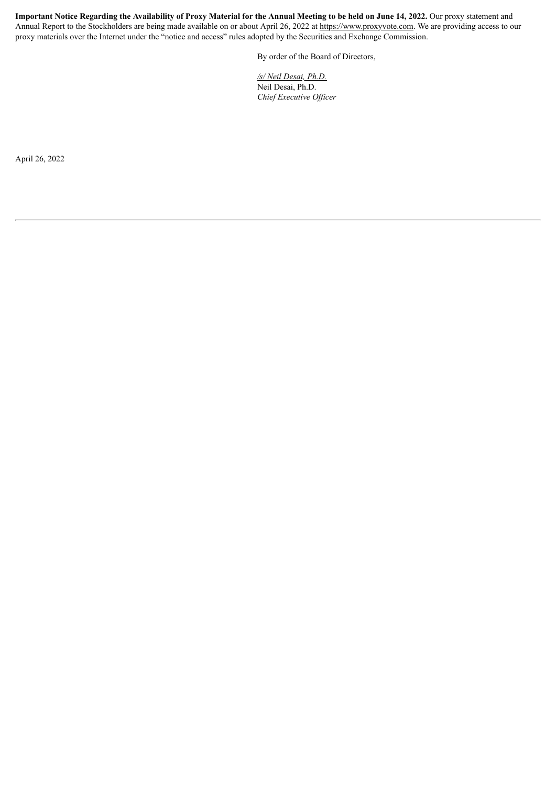Important Notice Regarding the Availability of Proxy Material for the Annual Meeting to be held on June 14, 2022. Our proxy statement and Annual Report to the Stockholders are being made available on or about April 26, 2022 at https://www.proxyvote.com. We are providing access to our proxy materials over the Internet under the "notice and access" rules adopted by the Securities and Exchange Commission.

By order of the Board of Directors,

*/s/ Neil Desai, Ph.D.* Neil Desai, Ph.D. *Chief Executive Of icer*

April 26, 2022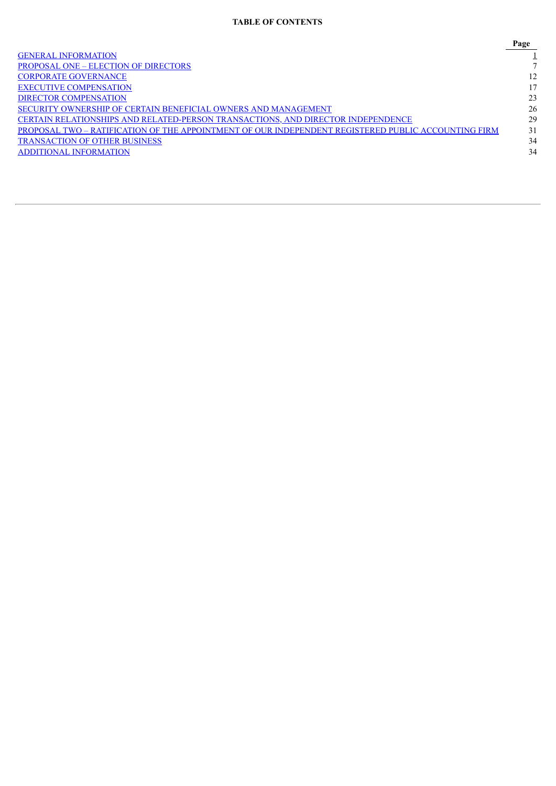# **TABLE OF CONTENTS**

|                                                                                                     | Page |
|-----------------------------------------------------------------------------------------------------|------|
| <b>GENERAL INFORMATION</b>                                                                          |      |
| <b>PROPOSAL ONE – ELECTION OF DIRECTORS</b>                                                         |      |
| <b>CORPORATE GOVERNANCE</b>                                                                         | 12   |
| <b>EXECUTIVE COMPENSATION</b>                                                                       | 17   |
| <b>DIRECTOR COMPENSATION</b>                                                                        | 23   |
| SECURITY OWNERSHIP OF CERTAIN BENEFICIAL OWNERS AND MANAGEMENT                                      | 26   |
| CERTAIN RELATIONSHIPS AND RELATED-PERSON TRANSACTIONS, AND DIRECTOR INDEPENDENCE                    | 29   |
| PROPOSAL TWO – RATIFICATION OF THE APPOINTMENT OF OUR INDEPENDENT REGISTERED PUBLIC ACCOUNTING FIRM | 31   |
| <b>TRANSACTION OF OTHER BUSINESS</b>                                                                | 34   |
| <b>ADDITIONAL INFORMATION</b>                                                                       | 34   |
|                                                                                                     |      |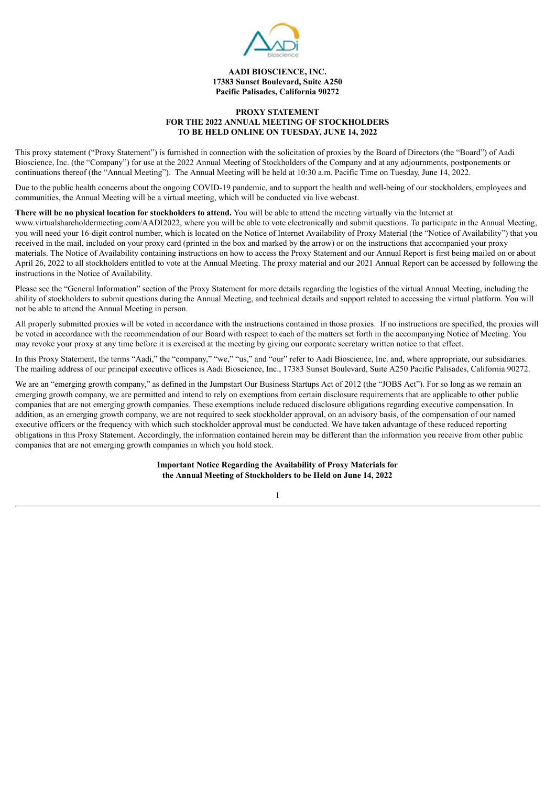

#### **AADI BIOSCIENCE, INC. 17383 Sunset Boulevard, Suite A250 Pacific Palisades, California 90272**

# **PROXY STATEMENT FOR THE 2022 ANNUAL MEETING OF STOCKHOLDERS TO BE HELD ONLINE ON TUESDAY, JUNE 14, 2022**

<span id="page-5-0"></span>This proxy statement ("Proxy Statement") is furnished in connection with the solicitation of proxies by the Board of Directors (the "Board") of Aadi Bioscience, Inc. (the "Company") for use at the 2022 Annual Meeting of Stockholders of the Company and at any adjournments, postponements or continuations thereof (the "Annual Meeting"). The Annual Meeting will be held at 10:30 a.m. Pacific Time on Tuesday, June 14, 2022.

Due to the public health concerns about the ongoing COVID-19 pandemic, and to support the health and well-being of our stockholders, employees and communities, the Annual Meeting will be a virtual meeting, which will be conducted via live webcast.

# **There will be no physical location for stockholders to attend.** You will be able to attend the meeting virtually via the Internet at

www.virtualshareholdermeeting.com/AADI2022, where you will be able to vote electronically and submit questions. To participate in the Annual Meeting, you will need your 16-digit control number, which is located on the Notice of Internet Availability of Proxy Material (the "Notice of Availability") that you received in the mail, included on your proxy card (printed in the box and marked by the arrow) or on the instructions that accompanied your proxy materials. The Notice of Availability containing instructions on how to access the Proxy Statement and our Annual Report is first being mailed on or about April 26, 2022 to all stockholders entitled to vote at the Annual Meeting. The proxy material and our 2021 Annual Report can be accessed by following the instructions in the Notice of Availability.

Please see the "General Information" section of the Proxy Statement for more details regarding the logistics of the virtual Annual Meeting, including the ability of stockholders to submit questions during the Annual Meeting, and technical details and support related to accessing the virtual platform. You will not be able to attend the Annual Meeting in person.

All properly submitted proxies will be voted in accordance with the instructions contained in those proxies. If no instructions are specified, the proxies will be voted in accordance with the recommendation of our Board with respect to each of the matters set forth in the accompanying Notice of Meeting. You may revoke your proxy at any time before it is exercised at the meeting by giving our corporate secretary written notice to that effect.

In this Proxy Statement, the terms "Aadi," the "company," "we," "us," and "our" refer to Aadi Bioscience, Inc. and, where appropriate, our subsidiaries. The mailing address of our principal executive offices is Aadi Bioscience, Inc., 17383 Sunset Boulevard, Suite A250 Pacific Palisades, California 90272.

We are an "emerging growth company," as defined in the Jumpstart Our Business Startups Act of 2012 (the "JOBS Act"). For so long as we remain an emerging growth company, we are permitted and intend to rely on exemptions from certain disclosure requirements that are applicable to other public companies that are not emerging growth companies. These exemptions include reduced disclosure obligations regarding executive compensation. In addition, as an emerging growth company, we are not required to seek stockholder approval, on an advisory basis, of the compensation of our named executive officers or the frequency with which such stockholder approval must be conducted. We have taken advantage of these reduced reporting obligations in this Proxy Statement. Accordingly, the information contained herein may be different than the information you receive from other public companies that are not emerging growth companies in which you hold stock.

> **Important Notice Regarding the Availability of Proxy Materials for the Annual Meeting of Stockholders to be Held on June 14, 2022**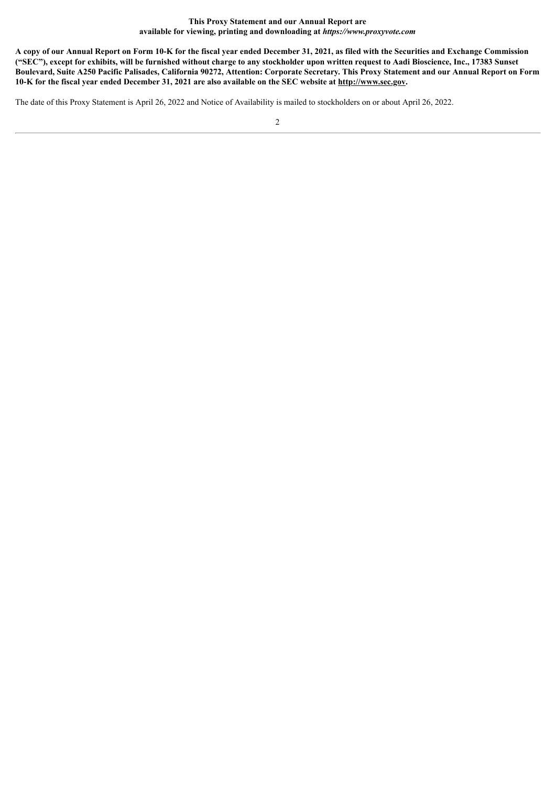#### **This Proxy Statement and our Annual Report are available for viewing, printing and downloading at** *https://www.proxyvote.com*

A copy of our Annual Report on Form 10-K for the fiscal year ended December 31, 2021, as filed with the Securities and Exchange Commission ("SEC"), except for exhibits, will be furnished without charge to any stockholder upon written request to Aadi Bioscience, Inc., 17383 Sunset Boulevard, Suite A250 Pacific Palisades, California 90272, Attention: Corporate Secretary. This Proxy Statement and our Annual Report on Form 10-K for the fiscal year ended December 31, 2021 are also available on the SEC website at http://www.sec.gov.

The date of this Proxy Statement is April 26, 2022 and Notice of Availability is mailed to stockholders on or about April 26, 2022.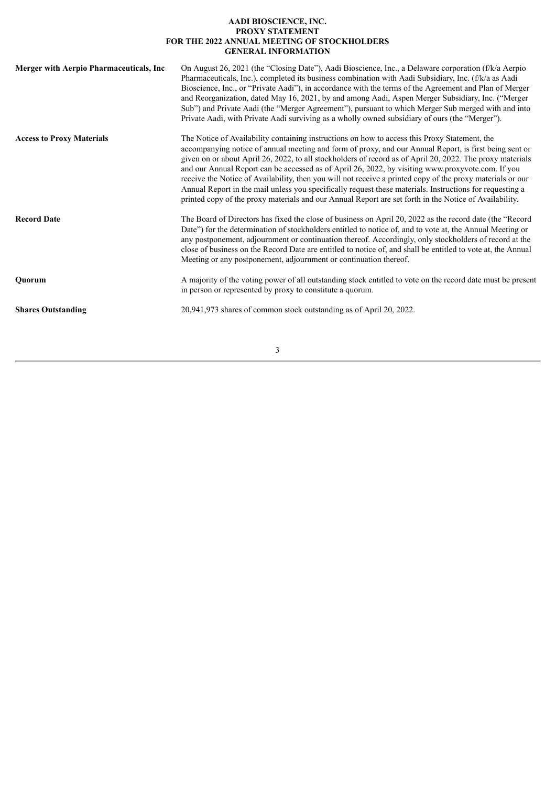# **AADI BIOSCIENCE, INC. PROXY STATEMENT FOR THE 2022 ANNUAL MEETING OF STOCKHOLDERS GENERAL INFORMATION**

| <b>Merger with Aerpio Pharmaceuticals, Inc</b> | On August 26, 2021 (the "Closing Date"), Aadi Bioscience, Inc., a Delaware corporation (f/k/a Aerpio<br>Pharmaceuticals, Inc.), completed its business combination with Aadi Subsidiary, Inc. (f/k/a as Aadi<br>Bioscience, Inc., or "Private Aadi"), in accordance with the terms of the Agreement and Plan of Merger<br>and Reorganization, dated May 16, 2021, by and among Aadi, Aspen Merger Subsidiary, Inc. ("Merger<br>Sub") and Private Aadi (the "Merger Agreement"), pursuant to which Merger Sub merged with and into<br>Private Aadi, with Private Aadi surviving as a wholly owned subsidiary of ours (the "Merger").                                                                                                                           |
|------------------------------------------------|---------------------------------------------------------------------------------------------------------------------------------------------------------------------------------------------------------------------------------------------------------------------------------------------------------------------------------------------------------------------------------------------------------------------------------------------------------------------------------------------------------------------------------------------------------------------------------------------------------------------------------------------------------------------------------------------------------------------------------------------------------------|
| <b>Access to Proxy Materials</b>               | The Notice of Availability containing instructions on how to access this Proxy Statement, the<br>accompanying notice of annual meeting and form of proxy, and our Annual Report, is first being sent or<br>given on or about April 26, 2022, to all stockholders of record as of April 20, 2022. The proxy materials<br>and our Annual Report can be accessed as of April 26, 2022, by visiting www.proxyvote.com. If you<br>receive the Notice of Availability, then you will not receive a printed copy of the proxy materials or our<br>Annual Report in the mail unless you specifically request these materials. Instructions for requesting a<br>printed copy of the proxy materials and our Annual Report are set forth in the Notice of Availability. |
| <b>Record Date</b>                             | The Board of Directors has fixed the close of business on April 20, 2022 as the record date (the "Record"<br>Date") for the determination of stockholders entitled to notice of, and to vote at, the Annual Meeting or<br>any postponement, adjournment or continuation thereof. Accordingly, only stockholders of record at the<br>close of business on the Record Date are entitled to notice of, and shall be entitled to vote at, the Annual<br>Meeting or any postponement, adjournment or continuation thereof.                                                                                                                                                                                                                                         |
| Quorum                                         | A majority of the voting power of all outstanding stock entitled to vote on the record date must be present<br>in person or represented by proxy to constitute a quorum.                                                                                                                                                                                                                                                                                                                                                                                                                                                                                                                                                                                      |
| <b>Shares Outstanding</b>                      | 20,941,973 shares of common stock outstanding as of April 20, 2022.                                                                                                                                                                                                                                                                                                                                                                                                                                                                                                                                                                                                                                                                                           |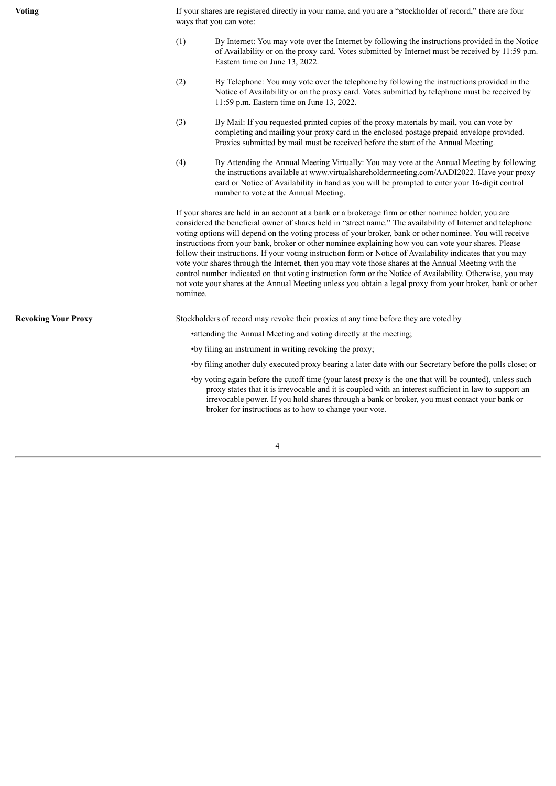**Voting** If your shares are registered directly in your name, and you are a "stockholder of record," there are four ways that you can vote:

- (1) By Internet: You may vote over the Internet by following the instructions provided in the Notice of Availability or on the proxy card. Votes submitted by Internet must be received by 11:59 p.m. Eastern time on June 13, 2022.
- (2) By Telephone: You may vote over the telephone by following the instructions provided in the Notice of Availability or on the proxy card. Votes submitted by telephone must be received by 11:59 p.m. Eastern time on June 13, 2022.
- (3) By Mail: If you requested printed copies of the proxy materials by mail, you can vote by completing and mailing your proxy card in the enclosed postage prepaid envelope provided. Proxies submitted by mail must be received before the start of the Annual Meeting.
- (4) By Attending the Annual Meeting Virtually: You may vote at the Annual Meeting by following the instructions available at www.virtualshareholdermeeting.com/AADI2022. Have your proxy card or Notice of Availability in hand as you will be prompted to enter your 16-digit control number to vote at the Annual Meeting.

If your shares are held in an account at a bank or a brokerage firm or other nominee holder, you are considered the beneficial owner of shares held in "street name." The availability of Internet and telephone voting options will depend on the voting process of your broker, bank or other nominee. You will receive instructions from your bank, broker or other nominee explaining how you can vote your shares. Please follow their instructions. If your voting instruction form or Notice of Availability indicates that you may vote your shares through the Internet, then you may vote those shares at the Annual Meeting with the control number indicated on that voting instruction form or the Notice of Availability. Otherwise, you may not vote your shares at the Annual Meeting unless you obtain a legal proxy from your broker, bank or other nominee.

**Revoking Your Proxy** Stockholders of record may revoke their proxies at any time before they are voted by

•attending the Annual Meeting and voting directly at the meeting;

- •by filing an instrument in writing revoking the proxy;
- •by filing another duly executed proxy bearing a later date with our Secretary before the polls close; or
- •by voting again before the cutoff time (your latest proxy is the one that will be counted), unless such proxy states that it is irrevocable and it is coupled with an interest sufficient in law to support an irrevocable power. If you hold shares through a bank or broker, you must contact your bank or broker for instructions as to how to change your vote.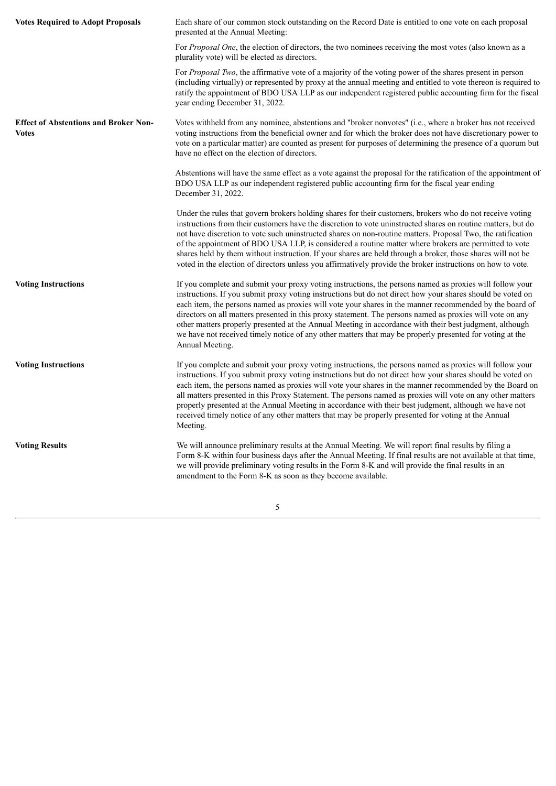| <b>Votes Required to Adopt Proposals</b>                     | Each share of our common stock outstanding on the Record Date is entitled to one vote on each proposal<br>presented at the Annual Meeting:                                                                                                                                                                                                                                                                                                                                                                                                                                                                                                                                               |
|--------------------------------------------------------------|------------------------------------------------------------------------------------------------------------------------------------------------------------------------------------------------------------------------------------------------------------------------------------------------------------------------------------------------------------------------------------------------------------------------------------------------------------------------------------------------------------------------------------------------------------------------------------------------------------------------------------------------------------------------------------------|
|                                                              | For Proposal One, the election of directors, the two nominees receiving the most votes (also known as a<br>plurality vote) will be elected as directors.                                                                                                                                                                                                                                                                                                                                                                                                                                                                                                                                 |
|                                                              | For <i>Proposal Two</i> , the affirmative vote of a majority of the voting power of the shares present in person<br>(including virtually) or represented by proxy at the annual meeting and entitled to vote thereon is required to<br>ratify the appointment of BDO USA LLP as our independent registered public accounting firm for the fiscal<br>year ending December 31, 2022.                                                                                                                                                                                                                                                                                                       |
| <b>Effect of Abstentions and Broker Non-</b><br><b>Votes</b> | Votes withheld from any nominee, abstentions and "broker nonvotes" (i.e., where a broker has not received<br>voting instructions from the beneficial owner and for which the broker does not have discretionary power to<br>vote on a particular matter) are counted as present for purposes of determining the presence of a quorum but<br>have no effect on the election of directors.                                                                                                                                                                                                                                                                                                 |
|                                                              | Abstentions will have the same effect as a vote against the proposal for the ratification of the appointment of<br>BDO USA LLP as our independent registered public accounting firm for the fiscal year ending<br>December 31, 2022.                                                                                                                                                                                                                                                                                                                                                                                                                                                     |
|                                                              | Under the rules that govern brokers holding shares for their customers, brokers who do not receive voting<br>instructions from their customers have the discretion to vote uninstructed shares on routine matters, but do<br>not have discretion to vote such uninstructed shares on non-routine matters. Proposal Two, the ratification<br>of the appointment of BDO USA LLP, is considered a routine matter where brokers are permitted to vote<br>shares held by them without instruction. If your shares are held through a broker, those shares will not be<br>voted in the election of directors unless you affirmatively provide the broker instructions on how to vote.          |
| <b>Voting Instructions</b>                                   | If you complete and submit your proxy voting instructions, the persons named as proxies will follow your<br>instructions. If you submit proxy voting instructions but do not direct how your shares should be voted on<br>each item, the persons named as proxies will vote your shares in the manner recommended by the board of<br>directors on all matters presented in this proxy statement. The persons named as proxies will vote on any<br>other matters properly presented at the Annual Meeting in accordance with their best judgment, although<br>we have not received timely notice of any other matters that may be properly presented for voting at the<br>Annual Meeting. |
| <b>Voting Instructions</b>                                   | If you complete and submit your proxy voting instructions, the persons named as proxies will follow your<br>instructions. If you submit proxy voting instructions but do not direct how your shares should be voted on<br>each item, the persons named as proxies will vote your shares in the manner recommended by the Board on<br>all matters presented in this Proxy Statement. The persons named as proxies will vote on any other matters<br>properly presented at the Annual Meeting in accordance with their best judgment, although we have not<br>received timely notice of any other matters that may be properly presented for voting at the Annual<br>Meeting.              |
| <b>Voting Results</b>                                        | We will announce preliminary results at the Annual Meeting. We will report final results by filing a<br>Form 8-K within four business days after the Annual Meeting. If final results are not available at that time,<br>we will provide preliminary voting results in the Form 8-K and will provide the final results in an<br>amendment to the Form 8-K as soon as they become available.                                                                                                                                                                                                                                                                                              |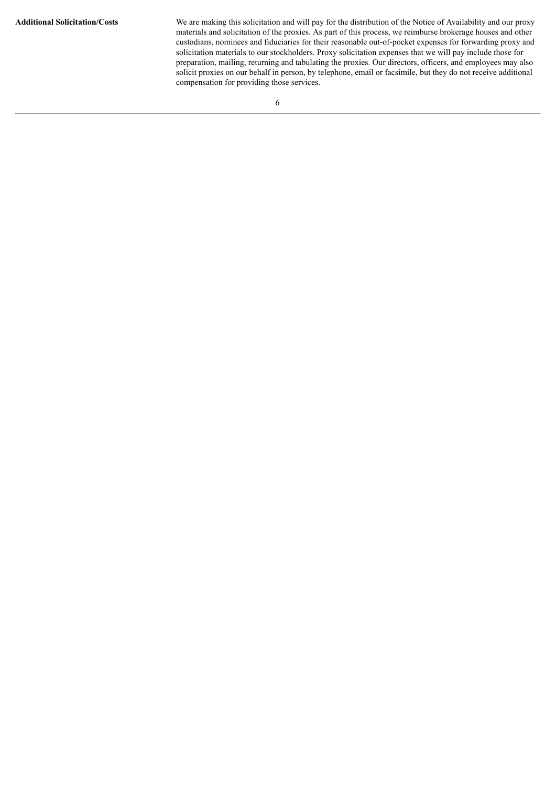**Additional Solicitation/Costs** We are making this solicitation and will pay for the distribution of the Notice of Availability and our proxy materials and solicitation of the proxies. As part of this process, we reimburse brokerage houses and other custodians, nominees and fiduciaries for their reasonable out-of-pocket expenses for forwarding proxy and solicitation materials to our stockholders. Proxy solicitation expenses that we will pay include those for preparation, mailing, returning and tabulating the proxies. Our directors, officers, and employees may also solicit proxies on our behalf in person, by telephone, email or facsimile, but they do not receive additional compensation for providing those services.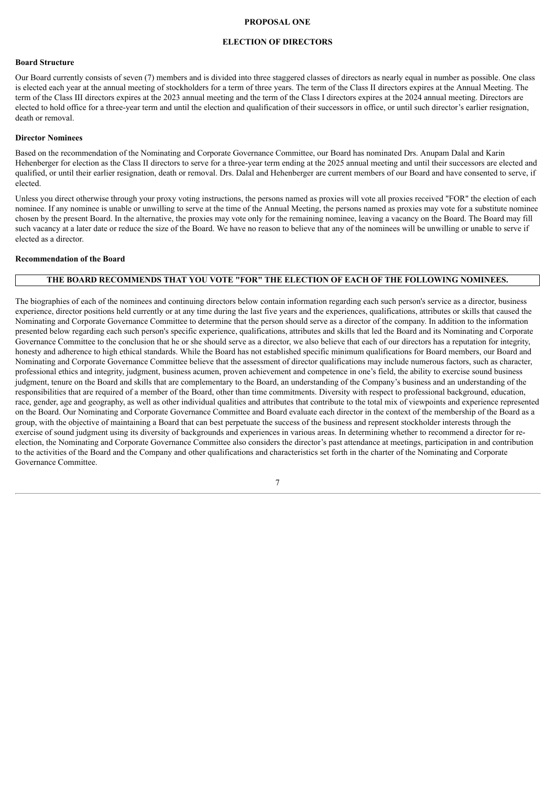# **PROPOSAL ONE**

#### **ELECTION OF DIRECTORS**

#### <span id="page-11-0"></span>**Board Structure**

Our Board currently consists of seven (7) members and is divided into three staggered classes of directors as nearly equal in number as possible. One class is elected each year at the annual meeting of stockholders for a term of three years. The term of the Class II directors expires at the Annual Meeting. The term of the Class III directors expires at the 2023 annual meeting and the term of the Class I directors expires at the 2024 annual meeting. Directors are elected to hold office for a three-year term and until the election and qualification of their successors in office, or until such director's earlier resignation, death or removal.

#### **Director Nominees**

Based on the recommendation of the Nominating and Corporate Governance Committee, our Board has nominated Drs. Anupam Dalal and Karin Hehenberger for election as the Class II directors to serve for a three-year term ending at the 2025 annual meeting and until their successors are elected and qualified, or until their earlier resignation, death or removal. Drs. Dalal and Hehenberger are current members of our Board and have consented to serve, if elected.

Unless you direct otherwise through your proxy voting instructions, the persons named as proxies will vote all proxies received "FOR" the election of each nominee. If any nominee is unable or unwilling to serve at the time of the Annual Meeting, the persons named as proxies may vote for a substitute nominee chosen by the present Board. In the alternative, the proxies may vote only for the remaining nominee, leaving a vacancy on the Board. The Board may fill such vacancy at a later date or reduce the size of the Board. We have no reason to believe that any of the nominees will be unwilling or unable to serve if elected as a director.

# **Recommendation of the Board**

# **THE BOARD RECOMMENDS THAT YOU VOTE "FOR" THE ELECTION OF EACH OF THE FOLLOWING NOMINEES.**

The biographies of each of the nominees and continuing directors below contain information regarding each such person's service as a director, business experience, director positions held currently or at any time during the last five years and the experiences, qualifications, attributes or skills that caused the Nominating and Corporate Governance Committee to determine that the person should serve as a director of the company. In addition to the information presented below regarding each such person's specific experience, qualifications, attributes and skills that led the Board and its Nominating and Corporate Governance Committee to the conclusion that he or she should serve as a director, we also believe that each of our directors has a reputation for integrity, honesty and adherence to high ethical standards. While the Board has not established specific minimum qualifications for Board members, our Board and Nominating and Corporate Governance Committee believe that the assessment of director qualifications may include numerous factors, such as character, professional ethics and integrity, judgment, business acumen, proven achievement and competence in one's field, the ability to exercise sound business judgment, tenure on the Board and skills that are complementary to the Board, an understanding of the Company's business and an understanding of the responsibilities that are required of a member of the Board, other than time commitments. Diversity with respect to professional background, education, race, gender, age and geography, as well as other individual qualities and attributes that contribute to the total mix of viewpoints and experience represented on the Board. Our Nominating and Corporate Governance Committee and Board evaluate each director in the context of the membership of the Board as a group, with the objective of maintaining a Board that can best perpetuate the success of the business and represent stockholder interests through the exercise of sound judgment using its diversity of backgrounds and experiences in various areas. In determining whether to recommend a director for reelection, the Nominating and Corporate Governance Committee also considers the director's past attendance at meetings, participation in and contribution to the activities of the Board and the Company and other qualifications and characteristics set forth in the charter of the Nominating and Corporate Governance Committee.

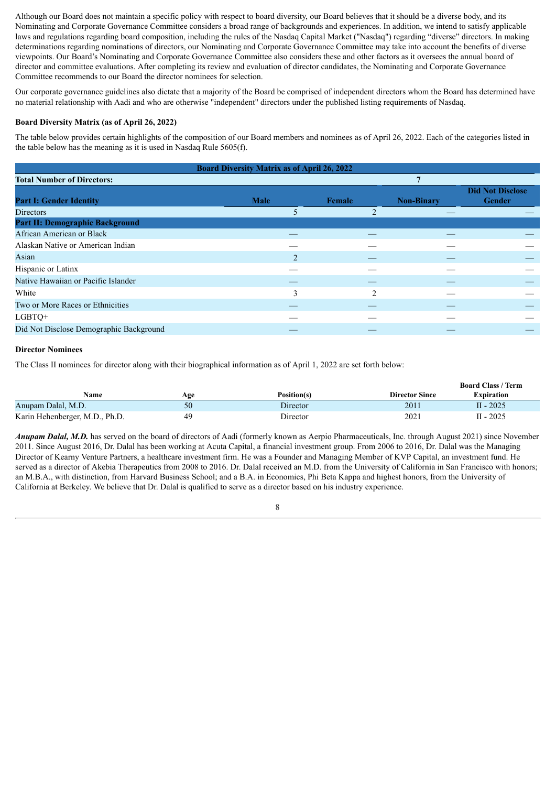Although our Board does not maintain a specific policy with respect to board diversity, our Board believes that it should be a diverse body, and its Nominating and Corporate Governance Committee considers a broad range of backgrounds and experiences. In addition, we intend to satisfy applicable laws and regulations regarding board composition, including the rules of the Nasdaq Capital Market ("Nasdaq") regarding "diverse" directors. In making determinations regarding nominations of directors, our Nominating and Corporate Governance Committee may take into account the benefits of diverse viewpoints. Our Board's Nominating and Corporate Governance Committee also considers these and other factors as it oversees the annual board of director and committee evaluations. After completing its review and evaluation of director candidates, the Nominating and Corporate Governance Committee recommends to our Board the director nominees for selection.

Our corporate governance guidelines also dictate that a majority of the Board be comprised of independent directors whom the Board has determined have no material relationship with Aadi and who are otherwise "independent" directors under the published listing requirements of Nasdaq.

# **Board Diversity Matrix (as of April 26, 2022)**

The table below provides certain highlights of the composition of our Board members and nominees as of April 26, 2022. Each of the categories listed in the table below has the meaning as it is used in Nasdaq Rule 5605(f).

| <b>Board Diversity Matrix as of April 26, 2022</b> |                |                         |                   |                                          |  |  |  |
|----------------------------------------------------|----------------|-------------------------|-------------------|------------------------------------------|--|--|--|
| <b>Total Number of Directors:</b>                  |                |                         | 7                 |                                          |  |  |  |
| <b>Part I: Gender Identity</b>                     | <b>Male</b>    | Female                  | <b>Non-Binary</b> | <b>Did Not Disclose</b><br><b>Gender</b> |  |  |  |
| <b>Directors</b>                                   | 5              | $\overline{c}$          |                   |                                          |  |  |  |
| <b>Part II: Demographic Background</b>             |                |                         |                   |                                          |  |  |  |
| African American or Black                          |                |                         |                   |                                          |  |  |  |
| Alaskan Native or American Indian                  |                |                         |                   |                                          |  |  |  |
| Asian                                              | $\overline{2}$ |                         |                   |                                          |  |  |  |
| Hispanic or Latinx                                 |                |                         |                   |                                          |  |  |  |
| Native Hawaiian or Pacific Islander                |                |                         |                   |                                          |  |  |  |
| White                                              | 3              | $\mathcal{D}_{1}^{(1)}$ |                   |                                          |  |  |  |
| Two or More Races or Ethnicities                   |                |                         |                   |                                          |  |  |  |
| LGBTQ+                                             |                |                         |                   |                                          |  |  |  |
| Did Not Disclose Demographic Background            |                |                         |                   |                                          |  |  |  |

# **Director Nominees**

The Class II nominees for director along with their biographical information as of April 1, 2022 are set forth below:

|                                |     |             |                       | <b>Board Class / Term</b> |
|--------------------------------|-----|-------------|-----------------------|---------------------------|
| Name                           | Age | Position(s) | <b>Director Since</b> | Expiration                |
| Anupam Dalal, M.D.             | 50  | Director    | 2011                  | $II - 2025$               |
| Karin Hehenberger, M.D., Ph.D. | 49  | Director    | 2021                  | $II - 2025$               |

*Anupam Dalal, M.D.* has served on the board of directors of Aadi (formerly known as Aerpio Pharmaceuticals, Inc. through August 2021) since November 2011. Since August 2016, Dr. Dalal has been working at Acuta Capital, a financial investment group. From 2006 to 2016, Dr. Dalal was the Managing Director of Kearny Venture Partners, a healthcare investment firm. He was a Founder and Managing Member of KVP Capital, an investment fund. He served as a director of Akebia Therapeutics from 2008 to 2016. Dr. Dalal received an M.D. from the University of California in San Francisco with honors; an M.B.A., with distinction, from Harvard Business School; and a B.A. in Economics, Phi Beta Kappa and highest honors, from the University of California at Berkeley. We believe that Dr. Dalal is qualified to serve as a director based on his industry experience.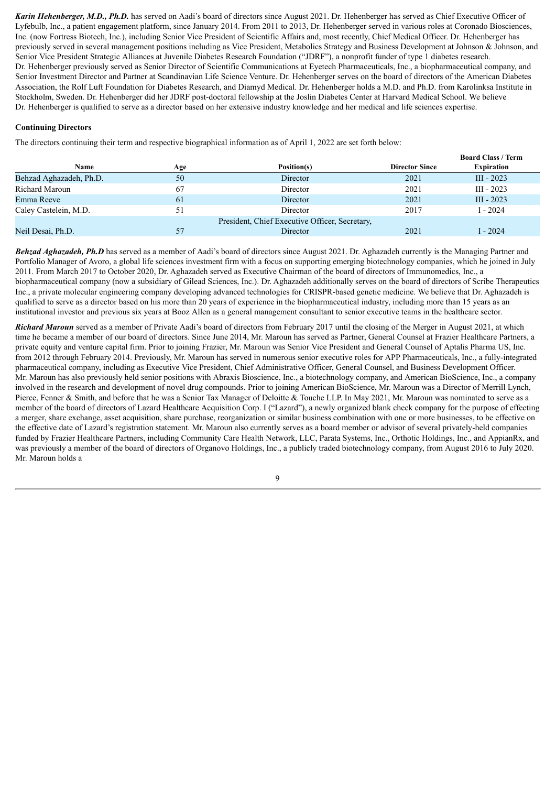*Karin Hehenberger, M.D., Ph.D.* has served on Aadi's board of directors since August 2021. Dr. Hehenberger has served as Chief Executive Officer of Lyfebulb, Inc., a patient engagement platform, since January 2014. From 2011 to 2013, Dr. Hehenberger served in various roles at Coronado Biosciences, Inc. (now Fortress Biotech, Inc.), including Senior Vice President of Scientific Affairs and, most recently, Chief Medical Officer. Dr. Hehenberger has previously served in several management positions including as Vice President, Metabolics Strategy and Business Development at Johnson & Johnson, and Senior Vice President Strategic Alliances at Juvenile Diabetes Research Foundation ("JDRF"), a nonprofit funder of type 1 diabetes research. Dr. Hehenberger previously served as Senior Director of Scientific Communications at Eyetech Pharmaceuticals, Inc., a biopharmaceutical company, and Senior Investment Director and Partner at Scandinavian Life Science Venture. Dr. Hehenberger serves on the board of directors of the American Diabetes Association, the Rolf Luft Foundation for Diabetes Research, and Diamyd Medical. Dr. Hehenberger holds a M.D. and Ph.D. from Karolinksa Institute in Stockholm, Sweden. Dr. Hehenberger did her JDRF post-doctoral fellowship at the Joslin Diabetes Center at Harvard Medical School. We believe Dr. Hehenberger is qualified to serve as a director based on her extensive industry knowledge and her medical and life sciences expertise.

# **Continuing Directors**

The directors continuing their term and respective biographical information as of April 1, 2022 are set forth below:

|                         |     |                                                |                       | роагч Стазэ дегиг |
|-------------------------|-----|------------------------------------------------|-----------------------|-------------------|
| Name                    | Age | Position(s)                                    | <b>Director Since</b> | <b>Expiration</b> |
| Behzad Aghazadeh, Ph.D. | 50  | Director                                       | 2021                  | III - 2023        |
| Richard Maroun          | 67  | Director                                       | 2021                  | $III - 2023$      |
| Emma Reeve              | 61  | Director                                       | 2021                  | III - 2023        |
| Caley Castelein, M.D.   | 51  | Director                                       | 2017                  | I - 2024          |
|                         |     | President, Chief Executive Officer, Secretary, |                       |                   |
| Neil Desai, Ph.D.       |     | Director                                       | 2021                  | $-2024$           |

**Board Class / Term**

*Behzad Aghazadeh, Ph.D* has served as a member of Aadi's board of directors since August 2021. Dr. Aghazadeh currently is the Managing Partner and Portfolio Manager of Avoro, a global life sciences investment firm with a focus on supporting emerging biotechnology companies, which he joined in July 2011. From March 2017 to October 2020, Dr. Aghazadeh served as Executive Chairman of the board of directors of Immunomedics, Inc., a biopharmaceutical company (now a subsidiary of Gilead Sciences, Inc.). Dr. Aghazadeh additionally serves on the board of directors of Scribe Therapeutics Inc., a private molecular engineering company developing advanced technologies for CRISPR-based genetic medicine. We believe that Dr. Aghazadeh is qualified to serve as a director based on his more than 20 years of experience in the biopharmaceutical industry, including more than 15 years as an institutional investor and previous six years at Booz Allen as a general management consultant to senior executive teams in the healthcare sector.

*Richard Maroun* served as a member of Private Aadi's board of directors from February 2017 until the closing of the Merger in August 2021, at which time he became a member of our board of directors. Since June 2014, Mr. Maroun has served as Partner, General Counsel at Frazier Healthcare Partners, a private equity and venture capital firm. Prior to joining Frazier, Mr. Maroun was Senior Vice President and General Counsel of Aptalis Pharma US, Inc. from 2012 through February 2014. Previously, Mr. Maroun has served in numerous senior executive roles for APP Pharmaceuticals, Inc., a fully-integrated pharmaceutical company, including as Executive Vice President, Chief Administrative Officer, General Counsel, and Business Development Officer. Mr. Maroun has also previously held senior positions with Abraxis Bioscience, Inc., a biotechnology company, and American BioScience, Inc., a company involved in the research and development of novel drug compounds. Prior to joining American BioScience, Mr. Maroun was a Director of Merrill Lynch, Pierce, Fenner & Smith, and before that he was a Senior Tax Manager of Deloitte & Touche LLP. In May 2021, Mr. Maroun was nominated to serve as a member of the board of directors of Lazard Healthcare Acquisition Corp. I ("Lazard"), a newly organized blank check company for the purpose of effecting a merger, share exchange, asset acquisition, share purchase, reorganization or similar business combination with one or more businesses, to be effective on the effective date of Lazard's registration statement. Mr. Maroun also currently serves as a board member or advisor of several privately-held companies funded by Frazier Healthcare Partners, including Community Care Health Network, LLC, Parata Systems, Inc., Orthotic Holdings, Inc., and AppianRx, and was previously a member of the board of directors of Organovo Holdings, Inc., a publicly traded biotechnology company, from August 2016 to July 2020. Mr. Maroun holds a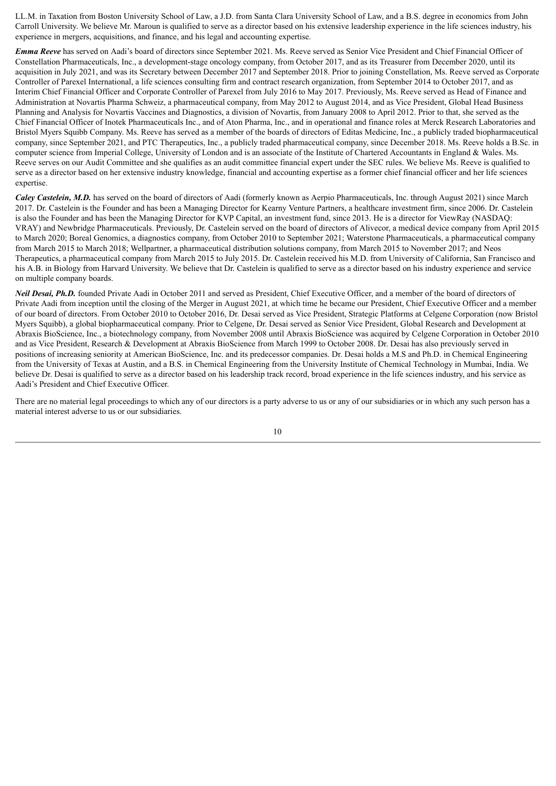LL.M. in Taxation from Boston University School of Law, a J.D. from Santa Clara University School of Law, and a B.S. degree in economics from John Carroll University. We believe Mr. Maroun is qualified to serve as a director based on his extensive leadership experience in the life sciences industry, his experience in mergers, acquisitions, and finance, and his legal and accounting expertise.

*Emma Reeve* has served on Aadi's board of directors since September 2021. Ms. Reeve served as Senior Vice President and Chief Financial Officer of Constellation Pharmaceuticals, Inc., a development-stage oncology company, from October 2017, and as its Treasurer from December 2020, until its acquisition in July 2021, and was its Secretary between December 2017 and September 2018. Prior to joining Constellation, Ms. Reeve served as Corporate Controller of Parexel International, a life sciences consulting firm and contract research organization, from September 2014 to October 2017, and as Interim Chief Financial Officer and Corporate Controller of Parexel from July 2016 to May 2017. Previously, Ms. Reeve served as Head of Finance and Administration at Novartis Pharma Schweiz, a pharmaceutical company, from May 2012 to August 2014, and as Vice President, Global Head Business Planning and Analysis for Novartis Vaccines and Diagnostics, a division of Novartis, from January 2008 to April 2012. Prior to that, she served as the Chief Financial Officer of Inotek Pharmaceuticals Inc., and of Aton Pharma, Inc., and in operational and finance roles at Merck Research Laboratories and Bristol Myers Squibb Company. Ms. Reeve has served as a member of the boards of directors of Editas Medicine, Inc., a publicly traded biopharmaceutical company, since September 2021, and PTC Therapeutics, Inc., a publicly traded pharmaceutical company, since December 2018. Ms. Reeve holds a B.Sc. in computer science from Imperial College, University of London and is an associate of the Institute of Chartered Accountants in England & Wales. Ms. Reeve serves on our Audit Committee and she qualifies as an audit committee financial expert under the SEC rules. We believe Ms. Reeve is qualified to serve as a director based on her extensive industry knowledge, financial and accounting expertise as a former chief financial officer and her life sciences expertise.

*Caley Castelein, M.D.* has served on the board of directors of Aadi (formerly known as Aerpio Pharmaceuticals, Inc. through August 2021) since March 2017. Dr. Castelein is the Founder and has been a Managing Director for Kearny Venture Partners, a healthcare investment firm, since 2006. Dr. Castelein is also the Founder and has been the Managing Director for KVP Capital, an investment fund, since 2013. He is a director for ViewRay (NASDAQ: VRAY) and Newbridge Pharmaceuticals. Previously, Dr. Castelein served on the board of directors of Alivecor, a medical device company from April 2015 to March 2020; Boreal Genomics, a diagnostics company, from October 2010 to September 2021; Waterstone Pharmaceuticals, a pharmaceutical company from March 2015 to March 2018; Wellpartner, a pharmaceutical distribution solutions company, from March 2015 to November 2017; and Neos Therapeutics, a pharmaceutical company from March 2015 to July 2015. Dr. Castelein received his M.D. from University of California, San Francisco and his A.B. in Biology from Harvard University. We believe that Dr. Castelein is qualified to serve as a director based on his industry experience and service on multiple company boards.

*Neil Desai, Ph.D.* founded Private Aadi in October 2011 and served as President, Chief Executive Officer, and a member of the board of directors of Private Aadi from inception until the closing of the Merger in August 2021, at which time he became our President, Chief Executive Officer and a member of our board of directors. From October 2010 to October 2016, Dr. Desai served as Vice President, Strategic Platforms at Celgene Corporation (now Bristol Myers Squibb), a global biopharmaceutical company. Prior to Celgene, Dr. Desai served as Senior Vice President, Global Research and Development at Abraxis BioScience, Inc., a biotechnology company, from November 2008 until Abraxis BioScience was acquired by Celgene Corporation in October 2010 and as Vice President, Research & Development at Abraxis BioScience from March 1999 to October 2008. Dr. Desai has also previously served in positions of increasing seniority at American BioScience, Inc. and its predecessor companies. Dr. Desai holds a M.S and Ph.D. in Chemical Engineering from the University of Texas at Austin, and a B.S. in Chemical Engineering from the University Institute of Chemical Technology in Mumbai, India. We believe Dr. Desai is qualified to serve as a director based on his leadership track record, broad experience in the life sciences industry, and his service as Aadi's President and Chief Executive Officer.

There are no material legal proceedings to which any of our directors is a party adverse to us or any of our subsidiaries or in which any such person has a material interest adverse to us or our subsidiaries.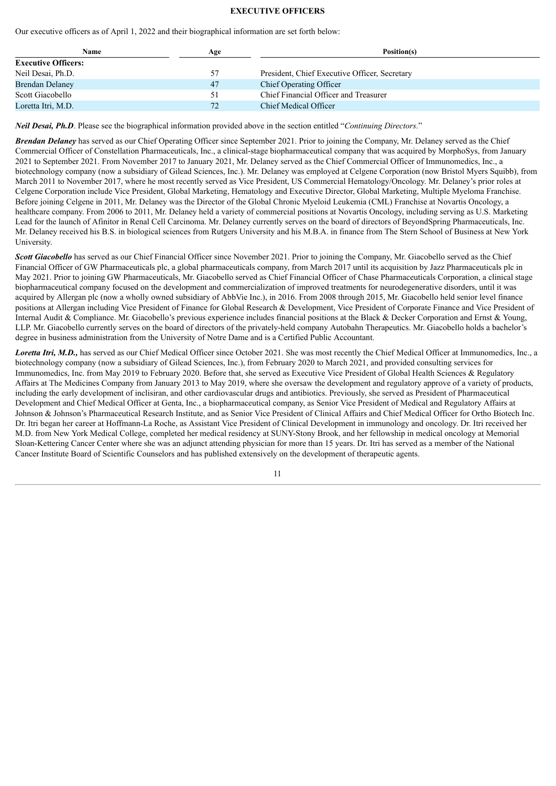#### **EXECUTIVE OFFICERS**

Our executive officers as of April 1, 2022 and their biographical information are set forth below:

| Name                       | Age | Position(s)                                   |
|----------------------------|-----|-----------------------------------------------|
| <b>Executive Officers:</b> |     |                                               |
| Neil Desai, Ph.D.          | 57  | President, Chief Executive Officer, Secretary |
| <b>Brendan Delaney</b>     | 47  | Chief Operating Officer                       |
| Scott Giacobello           | 51  | Chief Financial Officer and Treasurer         |
| Loretta Itri, M.D.         | 72  | <b>Chief Medical Officer</b>                  |

*Neil Desai, Ph.D*. Please see the biographical information provided above in the section entitled "*Continuing Directors*."

*Brendan Delaney* has served as our Chief Operating Officer since September 2021. Prior to joining the Company, Mr. Delaney served as the Chief Commercial Officer of Constellation Pharmaceuticals, Inc., a clinical-stage biopharmaceutical company that was acquired by MorphoSys, from January 2021 to September 2021. From November 2017 to January 2021, Mr. Delaney served as the Chief Commercial Officer of Immunomedics, Inc., a biotechnology company (now a subsidiary of Gilead Sciences, Inc.). Mr. Delaney was employed at Celgene Corporation (now Bristol Myers Squibb), from March 2011 to November 2017, where he most recently served as Vice President, US Commercial Hematology/Oncology. Mr. Delaney's prior roles at Celgene Corporation include Vice President, Global Marketing, Hematology and Executive Director, Global Marketing, Multiple Myeloma Franchise. Before joining Celgene in 2011, Mr. Delaney was the Director of the Global Chronic Myeloid Leukemia (CML) Franchise at Novartis Oncology, a healthcare company. From 2006 to 2011, Mr. Delaney held a variety of commercial positions at Novartis Oncology, including serving as U.S. Marketing Lead for the launch of Afinitor in Renal Cell Carcinoma. Mr. Delaney currently serves on the board of directors of BeyondSpring Pharmaceuticals, Inc. Mr. Delaney received his B.S. in biological sciences from Rutgers University and his M.B.A. in finance from The Stern School of Business at New York University.

*Scott Giacobello* has served as our Chief Financial Officer since November 2021. Prior to joining the Company, Mr. Giacobello served as the Chief Financial Officer of GW Pharmaceuticals plc, a global pharmaceuticals company, from March 2017 until its acquisition by Jazz Pharmaceuticals plc in May 2021. Prior to joining GW Pharmaceuticals, Mr. Giacobello served as Chief Financial Officer of Chase Pharmaceuticals Corporation, a clinical stage biopharmaceutical company focused on the development and commercialization of improved treatments for neurodegenerative disorders, until it was acquired by Allergan plc (now a wholly owned subsidiary of AbbVie Inc.), in 2016. From 2008 through 2015, Mr. Giacobello held senior level finance positions at Allergan including Vice President of Finance for Global Research & Development, Vice President of Corporate Finance and Vice President of Internal Audit & Compliance. Mr. Giacobello's previous experience includes financial positions at the Black & Decker Corporation and Ernst & Young, LLP. Mr. Giacobello currently serves on the board of directors of the privately-held company Autobahn Therapeutics. Mr. Giacobello holds a bachelor's degree in business administration from the University of Notre Dame and is a Certified Public Accountant.

*Loretta Itri, M.D.,* has served as our Chief Medical Officer since October 2021. She was most recently the Chief Medical Officer at Immunomedics, Inc., a biotechnology company (now a subsidiary of Gilead Sciences, Inc.), from February 2020 to March 2021, and provided consulting services for Immunomedics, Inc. from May 2019 to February 2020. Before that, she served as Executive Vice President of Global Health Sciences & Regulatory Affairs at The Medicines Company from January 2013 to May 2019, where she oversaw the development and regulatory approve of a variety of products, including the early development of inclisiran, and other cardiovascular drugs and antibiotics. Previously, she served as President of Pharmaceutical Development and Chief Medical Officer at Genta, Inc., a biopharmaceutical company, as Senior Vice President of Medical and Regulatory Affairs at Johnson & Johnson's Pharmaceutical Research Institute, and as Senior Vice President of Clinical Affairs and Chief Medical Officer for Ortho Biotech Inc. Dr. Itri began her career at Hoffmann-La Roche, as Assistant Vice President of Clinical Development in immunology and oncology. Dr. Itri received her M.D. from New York Medical College, completed her medical residency at SUNY-Stony Brook, and her fellowship in medical oncology at Memorial Sloan-Kettering Cancer Center where she was an adjunct attending physician for more than 15 years. Dr. Itri has served as a member of the National Cancer Institute Board of Scientific Counselors and has published extensively on the development of therapeutic agents.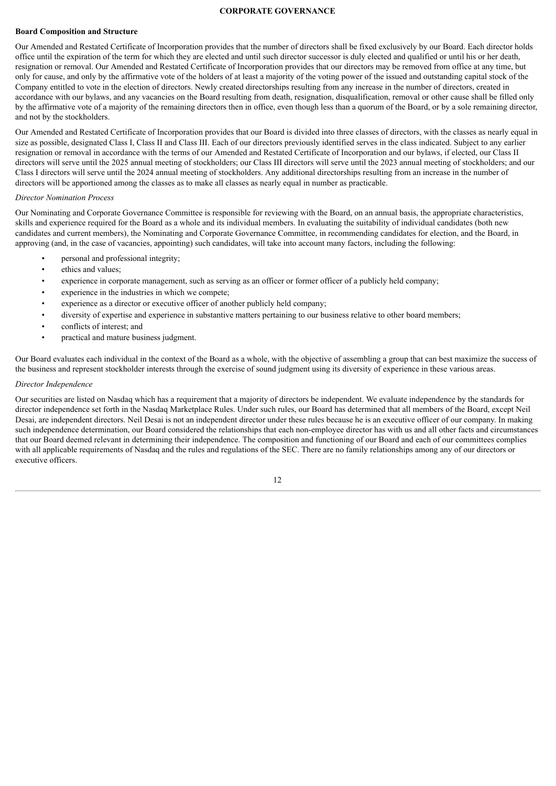# **CORPORATE GOVERNANCE**

#### <span id="page-16-0"></span>**Board Composition and Structure**

Our Amended and Restated Certificate of Incorporation provides that the number of directors shall be fixed exclusively by our Board. Each director holds office until the expiration of the term for which they are elected and until such director successor is duly elected and qualified or until his or her death, resignation or removal. Our Amended and Restated Certificate of Incorporation provides that our directors may be removed from office at any time, but only for cause, and only by the affirmative vote of the holders of at least a majority of the voting power of the issued and outstanding capital stock of the Company entitled to vote in the election of directors. Newly created directorships resulting from any increase in the number of directors, created in accordance with our bylaws, and any vacancies on the Board resulting from death, resignation, disqualification, removal or other cause shall be filled only by the affirmative vote of a majority of the remaining directors then in office, even though less than a quorum of the Board, or by a sole remaining director, and not by the stockholders.

Our Amended and Restated Certificate of Incorporation provides that our Board is divided into three classes of directors, with the classes as nearly equal in size as possible, designated Class I, Class II and Class III. Each of our directors previously identified serves in the class indicated. Subject to any earlier resignation or removal in accordance with the terms of our Amended and Restated Certificate of Incorporation and our bylaws, if elected, our Class II directors will serve until the 2025 annual meeting of stockholders; our Class III directors will serve until the 2023 annual meeting of stockholders; and our Class I directors will serve until the 2024 annual meeting of stockholders. Any additional directorships resulting from an increase in the number of directors will be apportioned among the classes as to make all classes as nearly equal in number as practicable.

#### *Director Nomination Process*

Our Nominating and Corporate Governance Committee is responsible for reviewing with the Board, on an annual basis, the appropriate characteristics, skills and experience required for the Board as a whole and its individual members. In evaluating the suitability of individual candidates (both new candidates and current members), the Nominating and Corporate Governance Committee, in recommending candidates for election, and the Board, in approving (and, in the case of vacancies, appointing) such candidates, will take into account many factors, including the following:

- personal and professional integrity;
- ethics and values;
- experience in corporate management, such as serving as an officer or former officer of a publicly held company;
- experience in the industries in which we compete;
- experience as a director or executive officer of another publicly held company;
- diversity of expertise and experience in substantive matters pertaining to our business relative to other board members;
- conflicts of interest; and
- practical and mature business judgment.

Our Board evaluates each individual in the context of the Board as a whole, with the objective of assembling a group that can best maximize the success of the business and represent stockholder interests through the exercise of sound judgment using its diversity of experience in these various areas.

#### *Director Independence*

Our securities are listed on Nasdaq which has a requirement that a majority of directors be independent. We evaluate independence by the standards for director independence set forth in the Nasdaq Marketplace Rules. Under such rules, our Board has determined that all members of the Board, except Neil Desai, are independent directors. Neil Desai is not an independent director under these rules because he is an executive officer of our company. In making such independence determination, our Board considered the relationships that each non-employee director has with us and all other facts and circumstances that our Board deemed relevant in determining their independence. The composition and functioning of our Board and each of our committees complies with all applicable requirements of Nasdaq and the rules and regulations of the SEC. There are no family relationships among any of our directors or executive officers.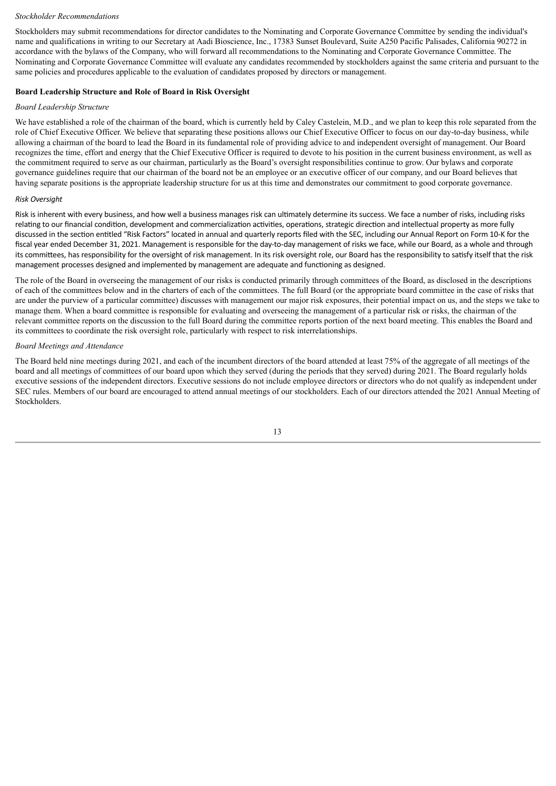#### *Stockholder Recommendations*

Stockholders may submit recommendations for director candidates to the Nominating and Corporate Governance Committee by sending the individual's name and qualifications in writing to our Secretary at Aadi Bioscience, Inc., 17383 Sunset Boulevard, Suite A250 Pacific Palisades, California 90272 in accordance with the bylaws of the Company, who will forward all recommendations to the Nominating and Corporate Governance Committee. The Nominating and Corporate Governance Committee will evaluate any candidates recommended by stockholders against the same criteria and pursuant to the same policies and procedures applicable to the evaluation of candidates proposed by directors or management.

# **Board Leadership Structure and Role of Board in Risk Oversight**

#### *Board Leadership Structure*

We have established a role of the chairman of the board, which is currently held by Caley Castelein, M.D., and we plan to keep this role separated from the role of Chief Executive Officer. We believe that separating these positions allows our Chief Executive Officer to focus on our day-to-day business, while allowing a chairman of the board to lead the Board in its fundamental role of providing advice to and independent oversight of management. Our Board recognizes the time, effort and energy that the Chief Executive Officer is required to devote to his position in the current business environment, as well as the commitment required to serve as our chairman, particularly as the Board's oversight responsibilities continue to grow. Our bylaws and corporate governance guidelines require that our chairman of the board not be an employee or an executive officer of our company, and our Board believes that having separate positions is the appropriate leadership structure for us at this time and demonstrates our commitment to good corporate governance.

# *Risk Oversight*

Risk is inherent with every business, and how well a business manages risk can ultimately determine its success. We face a number of risks, including risks relating to our financial condition, development and commercialization activities, operations, strategic direction and intellectual property as more fully discussed in the section entitled "Risk Factors" located in annual and quarterly reports filed with the SEC, including our Annual Report on Form 10-K for the fiscal year ended December 31, 2021. Management is responsible for the day-to-day management of risks we face, while our Board, as a whole and through its committees, has responsibility for the oversight of risk management. In its risk oversight role, our Board has the responsibility to satisfy itself that the risk management processes designed and implemented by management are adequate and functioning as designed.

The role of the Board in overseeing the management of our risks is conducted primarily through committees of the Board, as disclosed in the descriptions of each of the committees below and in the charters of each of the committees. The full Board (or the appropriate board committee in the case of risks that are under the purview of a particular committee) discusses with management our major risk exposures, their potential impact on us, and the steps we take to manage them. When a board committee is responsible for evaluating and overseeing the management of a particular risk or risks, the chairman of the relevant committee reports on the discussion to the full Board during the committee reports portion of the next board meeting. This enables the Board and its committees to coordinate the risk oversight role, particularly with respect to risk interrelationships.

#### *Board Meetings and Attendance*

The Board held nine meetings during 2021, and each of the incumbent directors of the board attended at least 75% of the aggregate of all meetings of the board and all meetings of committees of our board upon which they served (during the periods that they served) during 2021. The Board regularly holds executive sessions of the independent directors. Executive sessions do not include employee directors or directors who do not qualify as independent under SEC rules. Members of our board are encouraged to attend annual meetings of our stockholders. Each of our directors attended the 2021 Annual Meeting of Stockholders.

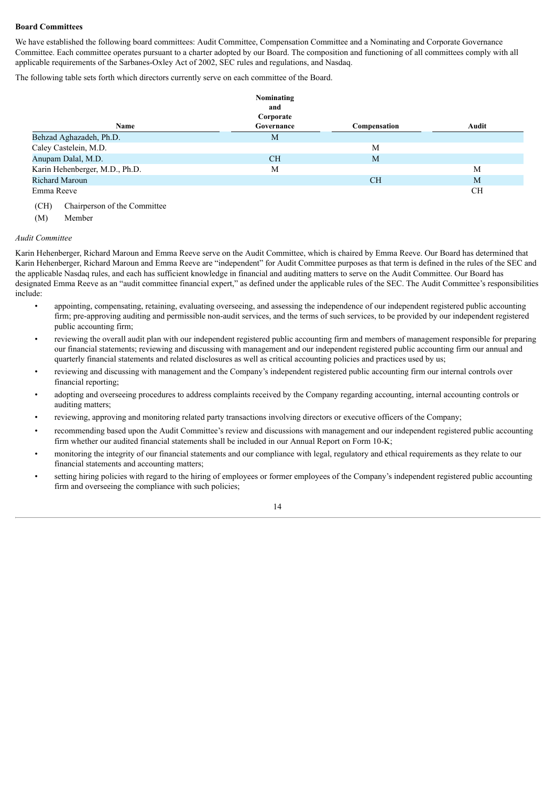#### **Board Committees**

We have established the following board committees: Audit Committee, Compensation Committee and a Nominating and Corporate Governance Committee. Each committee operates pursuant to a charter adopted by our Board. The composition and functioning of all committees comply with all applicable requirements of the Sarbanes-Oxley Act of 2002, SEC rules and regulations, and Nasdaq.

The following table sets forth which directors currently serve on each committee of the Board.

|                                | Nominating<br>and       |              |           |
|--------------------------------|-------------------------|--------------|-----------|
| Name                           | Corporate<br>Governance | Compensation | Audit     |
| Behzad Aghazadeh, Ph.D.        | M                       |              |           |
| Caley Castelein, M.D.          |                         | M            |           |
| Anupam Dalal, M.D.             | <b>CH</b>               | M            |           |
| Karin Hehenberger, M.D., Ph.D. | M                       |              | M         |
| <b>Richard Maroun</b>          |                         | <b>CH</b>    | M         |
| Emma Reeve                     |                         |              | <b>CH</b> |

(CH) Chairperson of the Committee

(M) Member

#### *Audit Committee*

Karin Hehenberger, Richard Maroun and Emma Reeve serve on the Audit Committee, which is chaired by Emma Reeve. Our Board has determined that Karin Hehenberger, Richard Maroun and Emma Reeve are "independent" for Audit Committee purposes as that term is defined in the rules of the SEC and the applicable Nasdaq rules, and each has sufficient knowledge in financial and auditing matters to serve on the Audit Committee. Our Board has designated Emma Reeve as an "audit committee financial expert," as defined under the applicable rules of the SEC. The Audit Committee's responsibilities include:

- appointing, compensating, retaining, evaluating overseeing, and assessing the independence of our independent registered public accounting firm; pre-approving auditing and permissible non-audit services, and the terms of such services, to be provided by our independent registered public accounting firm;
- reviewing the overall audit plan with our independent registered public accounting firm and members of management responsible for preparing our financial statements; reviewing and discussing with management and our independent registered public accounting firm our annual and quarterly financial statements and related disclosures as well as critical accounting policies and practices used by us;
- reviewing and discussing with management and the Company's independent registered public accounting firm our internal controls over financial reporting;
- adopting and overseeing procedures to address complaints received by the Company regarding accounting, internal accounting controls or auditing matters;
- reviewing, approving and monitoring related party transactions involving directors or executive officers of the Company;
- recommending based upon the Audit Committee's review and discussions with management and our independent registered public accounting firm whether our audited financial statements shall be included in our Annual Report on Form 10-K;
- monitoring the integrity of our financial statements and our compliance with legal, regulatory and ethical requirements as they relate to our financial statements and accounting matters;
- setting hiring policies with regard to the hiring of employees or former employees of the Company's independent registered public accounting firm and overseeing the compliance with such policies;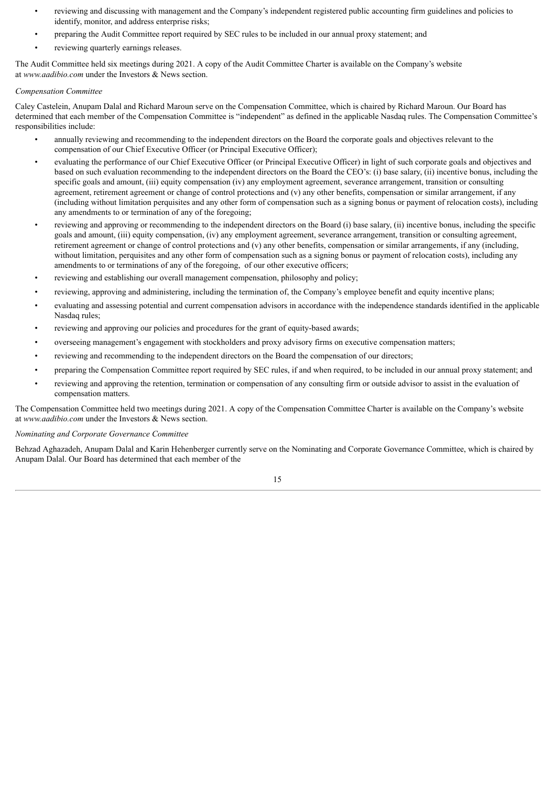- reviewing and discussing with management and the Company's independent registered public accounting firm guidelines and policies to identify, monitor, and address enterprise risks;
- preparing the Audit Committee report required by SEC rules to be included in our annual proxy statement; and
- reviewing quarterly earnings releases.

The Audit Committee held six meetings during 2021. A copy of the Audit Committee Charter is available on the Company's website at *www.aadibio.com* under the Investors & News section.

#### *Compensation Committee*

Caley Castelein, Anupam Dalal and Richard Maroun serve on the Compensation Committee, which is chaired by Richard Maroun. Our Board has determined that each member of the Compensation Committee is "independent" as defined in the applicable Nasdaq rules. The Compensation Committee's responsibilities include:

- annually reviewing and recommending to the independent directors on the Board the corporate goals and objectives relevant to the compensation of our Chief Executive Officer (or Principal Executive Officer);
- evaluating the performance of our Chief Executive Officer (or Principal Executive Officer) in light of such corporate goals and objectives and based on such evaluation recommending to the independent directors on the Board the CEO's: (i) base salary, (ii) incentive bonus, including the specific goals and amount, (iii) equity compensation (iv) any employment agreement, severance arrangement, transition or consulting agreement, retirement agreement or change of control protections and (v) any other benefits, compensation or similar arrangement, if any (including without limitation perquisites and any other form of compensation such as a signing bonus or payment of relocation costs), including any amendments to or termination of any of the foregoing;
- reviewing and approving or recommending to the independent directors on the Board (i) base salary, (ii) incentive bonus, including the specific goals and amount, (iii) equity compensation, (iv) any employment agreement, severance arrangement, transition or consulting agreement, retirement agreement or change of control protections and (v) any other benefits, compensation or similar arrangements, if any (including, without limitation, perquisites and any other form of compensation such as a signing bonus or payment of relocation costs), including any amendments to or terminations of any of the foregoing, of our other executive officers;
- reviewing and establishing our overall management compensation, philosophy and policy;
- reviewing, approving and administering, including the termination of, the Company's employee benefit and equity incentive plans;
- evaluating and assessing potential and current compensation advisors in accordance with the independence standards identified in the applicable Nasdaq rules;
- reviewing and approving our policies and procedures for the grant of equity-based awards;
- overseeing management's engagement with stockholders and proxy advisory firms on executive compensation matters;
- reviewing and recommending to the independent directors on the Board the compensation of our directors;
- preparing the Compensation Committee report required by SEC rules, if and when required, to be included in our annual proxy statement; and
- reviewing and approving the retention, termination or compensation of any consulting firm or outside advisor to assist in the evaluation of compensation matters.

The Compensation Committee held two meetings during 2021. A copy of the Compensation Committee Charter is available on the Company's website at *www.aadibio.com* under the Investors & News section.

#### *Nominating and Corporate Governance Committee*

Behzad Aghazadeh, Anupam Dalal and Karin Hehenberger currently serve on the Nominating and Corporate Governance Committee, which is chaired by Anupam Dalal. Our Board has determined that each member of the

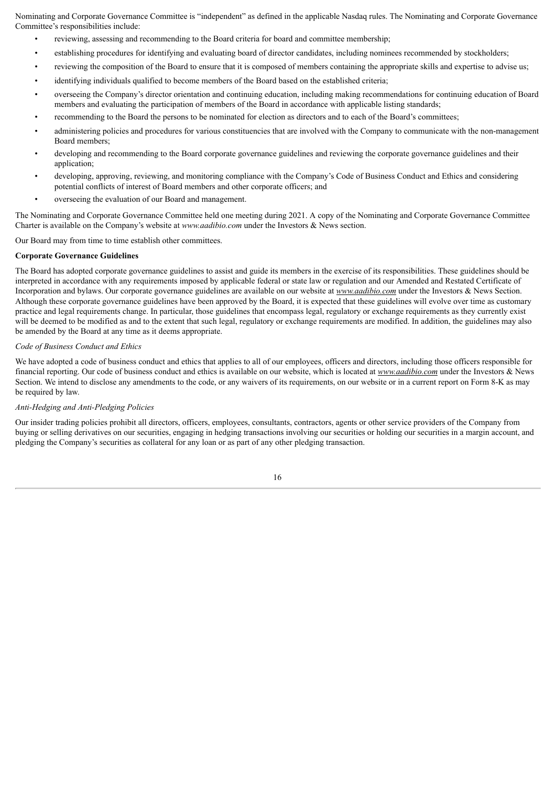Nominating and Corporate Governance Committee is "independent" as defined in the applicable Nasdaq rules. The Nominating and Corporate Governance Committee's responsibilities include:

- reviewing, assessing and recommending to the Board criteria for board and committee membership;
- establishing procedures for identifying and evaluating board of director candidates, including nominees recommended by stockholders;
- reviewing the composition of the Board to ensure that it is composed of members containing the appropriate skills and expertise to advise us;
- identifying individuals qualified to become members of the Board based on the established criteria;
- overseeing the Company's director orientation and continuing education, including making recommendations for continuing education of Board members and evaluating the participation of members of the Board in accordance with applicable listing standards;
- recommending to the Board the persons to be nominated for election as directors and to each of the Board's committees;
- administering policies and procedures for various constituencies that are involved with the Company to communicate with the non-management Board members;
- developing and recommending to the Board corporate governance guidelines and reviewing the corporate governance guidelines and their application;
- developing, approving, reviewing, and monitoring compliance with the Company's Code of Business Conduct and Ethics and considering potential conflicts of interest of Board members and other corporate officers; and
- overseeing the evaluation of our Board and management.

The Nominating and Corporate Governance Committee held one meeting during 2021. A copy of the Nominating and Corporate Governance Committee Charter is available on the Company's website at *www.aadibio.com* under the Investors & News section.

Our Board may from time to time establish other committees.

#### **Corporate Governance Guidelines**

The Board has adopted corporate governance guidelines to assist and guide its members in the exercise of its responsibilities. These guidelines should be interpreted in accordance with any requirements imposed by applicable federal or state law or regulation and our Amended and Restated Certificate of Incorporation and bylaws. Our corporate governance guidelines are available on our website at *www.aadibio.com* under the Investors & News Section. Although these corporate governance guidelines have been approved by the Board, it is expected that these guidelines will evolve over time as customary practice and legal requirements change. In particular, those guidelines that encompass legal, regulatory or exchange requirements as they currently exist will be deemed to be modified as and to the extent that such legal, regulatory or exchange requirements are modified. In addition, the guidelines may also be amended by the Board at any time as it deems appropriate.

# *Code of Business Conduct and Ethics*

We have adopted a code of business conduct and ethics that applies to all of our employees, officers and directors, including those officers responsible for financial reporting. Our code of business conduct and ethics is available on our website, which is located at *www.aadibio.com* under the Investors & News Section. We intend to disclose any amendments to the code, or any waivers of its requirements, on our website or in a current report on Form 8-K as may be required by law.

# *Anti-Hedging and Anti-Pledging Policies*

Our insider trading policies prohibit all directors, officers, employees, consultants, contractors, agents or other service providers of the Company from buying or selling derivatives on our securities, engaging in hedging transactions involving our securities or holding our securities in a margin account, and pledging the Company's securities as collateral for any loan or as part of any other pledging transaction.

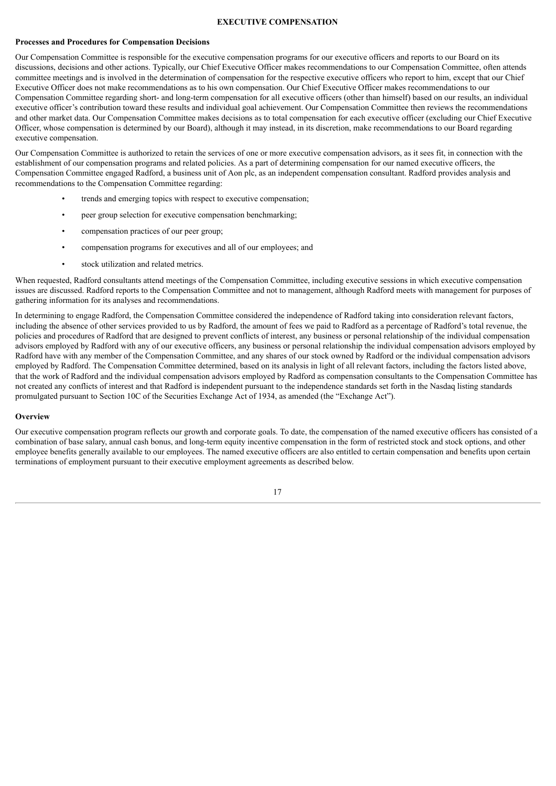#### **EXECUTIVE COMPENSATION**

#### <span id="page-21-0"></span>**Processes and Procedures for Compensation Decisions**

Our Compensation Committee is responsible for the executive compensation programs for our executive officers and reports to our Board on its discussions, decisions and other actions. Typically, our Chief Executive Officer makes recommendations to our Compensation Committee, often attends committee meetings and is involved in the determination of compensation for the respective executive officers who report to him, except that our Chief Executive Officer does not make recommendations as to his own compensation. Our Chief Executive Officer makes recommendations to our Compensation Committee regarding short- and long-term compensation for all executive officers (other than himself) based on our results, an individual executive officer's contribution toward these results and individual goal achievement. Our Compensation Committee then reviews the recommendations and other market data. Our Compensation Committee makes decisions as to total compensation for each executive officer (excluding our Chief Executive Officer, whose compensation is determined by our Board), although it may instead, in its discretion, make recommendations to our Board regarding executive compensation.

Our Compensation Committee is authorized to retain the services of one or more executive compensation advisors, as it sees fit, in connection with the establishment of our compensation programs and related policies. As a part of determining compensation for our named executive officers, the Compensation Committee engaged Radford, a business unit of Aon plc, as an independent compensation consultant. Radford provides analysis and recommendations to the Compensation Committee regarding:

- trends and emerging topics with respect to executive compensation;
- peer group selection for executive compensation benchmarking;
- compensation practices of our peer group;
- compensation programs for executives and all of our employees; and
- stock utilization and related metrics.

When requested, Radford consultants attend meetings of the Compensation Committee, including executive sessions in which executive compensation issues are discussed. Radford reports to the Compensation Committee and not to management, although Radford meets with management for purposes of gathering information for its analyses and recommendations.

In determining to engage Radford, the Compensation Committee considered the independence of Radford taking into consideration relevant factors, including the absence of other services provided to us by Radford, the amount of fees we paid to Radford as a percentage of Radford's total revenue, the policies and procedures of Radford that are designed to prevent conflicts of interest, any business or personal relationship of the individual compensation advisors employed by Radford with any of our executive officers, any business or personal relationship the individual compensation advisors employed by Radford have with any member of the Compensation Committee, and any shares of our stock owned by Radford or the individual compensation advisors employed by Radford. The Compensation Committee determined, based on its analysis in light of all relevant factors, including the factors listed above, that the work of Radford and the individual compensation advisors employed by Radford as compensation consultants to the Compensation Committee has not created any conflicts of interest and that Radford is independent pursuant to the independence standards set forth in the Nasdaq listing standards promulgated pursuant to Section 10C of the Securities Exchange Act of 1934, as amended (the "Exchange Act").

#### **Overview**

Our executive compensation program reflects our growth and corporate goals. To date, the compensation of the named executive officers has consisted of a combination of base salary, annual cash bonus, and long-term equity incentive compensation in the form of restricted stock and stock options, and other employee benefits generally available to our employees. The named executive officers are also entitled to certain compensation and benefits upon certain terminations of employment pursuant to their executive employment agreements as described below.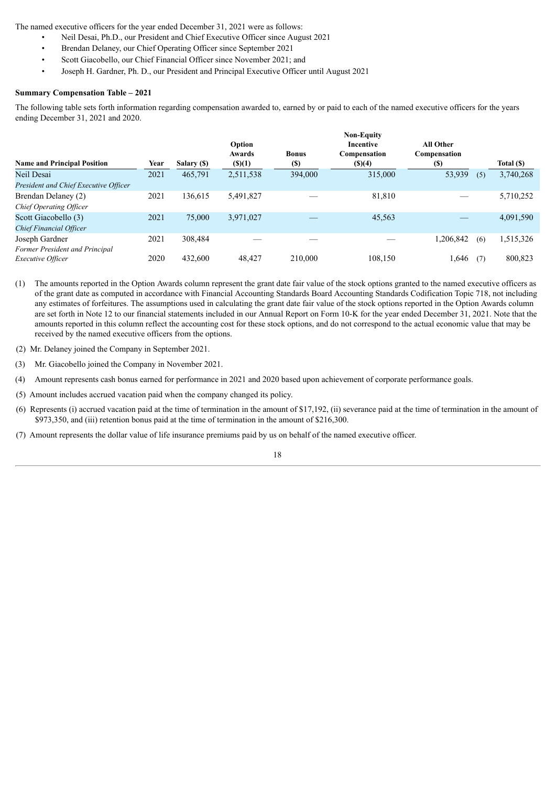The named executive officers for the year ended December 31, 2021 were as follows:

- Neil Desai, Ph.D., our President and Chief Executive Officer since August 2021
- Brendan Delaney, our Chief Operating Officer since September 2021
- Scott Giacobello, our Chief Financial Officer since November 2021; and
- Joseph H. Gardner, Ph. D., our President and Principal Executive Officer until August 2021

# **Summary Compensation Table – 2021**

The following table sets forth information regarding compensation awarded to, earned by or paid to each of the named executive officers for the years ending December 31, 2021 and 2020.

| <b>Name and Principal Position</b>    | Year | Salary (\$) | Option<br>Awards<br>$($ \$ $)(1)$ | <b>Bonus</b><br><b>(S)</b> | <b>Non-Equity</b><br>Incentive<br>Compensation<br>$($ (\$)(4) | <b>All Other</b><br>Compensation<br><b>(S)</b> |     | Total (\$) |
|---------------------------------------|------|-------------|-----------------------------------|----------------------------|---------------------------------------------------------------|------------------------------------------------|-----|------------|
| Neil Desai                            | 2021 | 465,791     | 2,511,538                         | 394,000                    | 315,000                                                       | 53,939                                         | (5) | 3,740,268  |
| President and Chief Executive Officer |      |             |                                   |                            |                                                               |                                                |     |            |
| Brendan Delaney (2)                   | 2021 | 136,615     | 5,491,827                         |                            | 81,810                                                        |                                                |     | 5,710,252  |
| Chief Operating Officer               |      |             |                                   |                            |                                                               |                                                |     |            |
| Scott Giacobello (3)                  | 2021 | 75,000      | 3,971,027                         |                            | 45,563                                                        |                                                |     | 4,091,590  |
| <b>Chief Financial Officer</b>        |      |             |                                   |                            |                                                               |                                                |     |            |
| Joseph Gardner                        | 2021 | 308,484     |                                   |                            |                                                               | 1,206,842                                      | (6) | 1,515,326  |
| Former President and Principal        |      |             |                                   |                            |                                                               |                                                |     |            |
| <i>Executive Officer</i>              | 2020 | 432,600     | 48,427                            | 210,000                    | 108,150                                                       | .646                                           | (7) | 800,823    |

(1) The amounts reported in the Option Awards column represent the grant date fair value of the stock options granted to the named executive officers as of the grant date as computed in accordance with Financial Accounting Standards Board Accounting Standards Codification Topic 718, not including any estimates of forfeitures. The assumptions used in calculating the grant date fair value of the stock options reported in the Option Awards column are set forth in Note 12 to our financial statements included in our Annual Report on Form 10-K for the year ended December 31, 2021. Note that the amounts reported in this column reflect the accounting cost for these stock options, and do not correspond to the actual economic value that may be received by the named executive officers from the options.

- (2) Mr. Delaney joined the Company in September 2021.
- (3) Mr. Giacobello joined the Company in November 2021.
- (4) Amount represents cash bonus earned for performance in 2021 and 2020 based upon achievement of corporate performance goals.
- (5) Amount includes accrued vacation paid when the company changed its policy.
- (6) Represents (i) accrued vacation paid at the time of termination in the amount of \$17,192, (ii) severance paid at the time of termination in the amount of \$973,350, and (iii) retention bonus paid at the time of termination in the amount of \$216,300.
- (7) Amount represents the dollar value of life insurance premiums paid by us on behalf of the named executive officer.

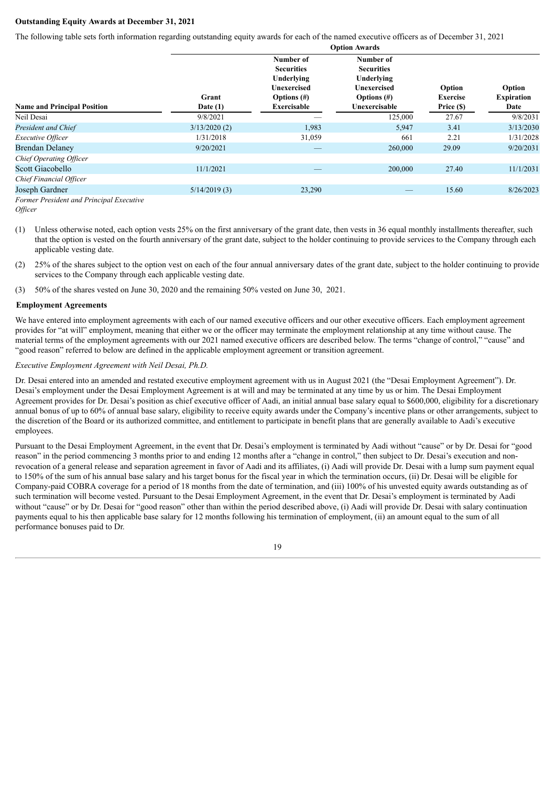# **Outstanding Equity Awards at December 31, 2021**

The following table sets forth information regarding outstanding equity awards for each of the named executive officers as of December 31, 2021

|                                          | Opuon Awarus        |                                                                                              |                                                                                                |                                         |                                     |  |  |  |
|------------------------------------------|---------------------|----------------------------------------------------------------------------------------------|------------------------------------------------------------------------------------------------|-----------------------------------------|-------------------------------------|--|--|--|
| <b>Name and Principal Position</b>       | Grant<br>Date $(1)$ | Number of<br><b>Securities</b><br>Underlying<br>Unexercised<br>Options $(\#)$<br>Exercisable | Number of<br><b>Securities</b><br>Underlying<br>Unexercised<br>Options $(\#)$<br>Unexercisable | Option<br><b>Exercise</b><br>Price (\$) | Option<br><b>Expiration</b><br>Date |  |  |  |
| Neil Desai                               | 9/8/2021            |                                                                                              | 125,000                                                                                        | 27.67                                   | 9/8/2031                            |  |  |  |
| President and Chief                      | 3/13/2020(2)        | 1,983                                                                                        | 5,947                                                                                          | 3.41                                    | 3/13/2030                           |  |  |  |
| <i>Executive Officer</i>                 | 1/31/2018           | 31,059                                                                                       | 661                                                                                            | 2.21                                    | 1/31/2028                           |  |  |  |
| <b>Brendan Delaney</b>                   | 9/20/2021           |                                                                                              | 260,000                                                                                        | 29.09                                   | 9/20/2031                           |  |  |  |
| Chief Operating Officer                  |                     |                                                                                              |                                                                                                |                                         |                                     |  |  |  |
| Scott Giacobello                         | 11/1/2021           |                                                                                              | 200,000                                                                                        | 27.40                                   | 11/1/2031                           |  |  |  |
| Chief Financial Officer                  |                     |                                                                                              |                                                                                                |                                         |                                     |  |  |  |
| Joseph Gardner                           | 5/14/2019(3)        | 23,290                                                                                       |                                                                                                | 15.60                                   | 8/26/2023                           |  |  |  |
| Former President and Principal Executive |                     |                                                                                              |                                                                                                |                                         |                                     |  |  |  |

**Option Awards**

- (1) Unless otherwise noted, each option vests 25% on the first anniversary of the grant date, then vests in 36 equal monthly installments thereafter, such that the option is vested on the fourth anniversary of the grant date, subject to the holder continuing to provide services to the Company through each applicable vesting date.
- (2) 25% of the shares subject to the option vest on each of the four annual anniversary dates of the grant date, subject to the holder continuing to provide services to the Company through each applicable vesting date.
- (3) 50% of the shares vested on June 30, 2020 and the remaining 50% vested on June 30, 2021.

#### **Employment Agreements**

We have entered into employment agreements with each of our named executive officers and our other executive officers. Each employment agreement provides for "at will" employment, meaning that either we or the officer may terminate the employment relationship at any time without cause. The material terms of the employment agreements with our 2021 named executive officers are described below. The terms "change of control," "cause" and "good reason" referred to below are defined in the applicable employment agreement or transition agreement.

# *Executive Employment Agreement with Neil Desai, Ph.D.*

Dr. Desai entered into an amended and restated executive employment agreement with us in August 2021 (the "Desai Employment Agreement"). Dr. Desai's employment under the Desai Employment Agreement is at will and may be terminated at any time by us or him. The Desai Employment Agreement provides for Dr. Desai's position as chief executive officer of Aadi, an initial annual base salary equal to \$600,000, eligibility for a discretionary annual bonus of up to 60% of annual base salary, eligibility to receive equity awards under the Company's incentive plans or other arrangements, subject to the discretion of the Board or its authorized committee, and entitlement to participate in benefit plans that are generally available to Aadi's executive employees.

Pursuant to the Desai Employment Agreement, in the event that Dr. Desai's employment is terminated by Aadi without "cause" or by Dr. Desai for "good reason" in the period commencing 3 months prior to and ending 12 months after a "change in control," then subject to Dr. Desai's execution and nonrevocation of a general release and separation agreement in favor of Aadi and its affiliates, (i) Aadi will provide Dr. Desai with a lump sum payment equal to 150% of the sum of his annual base salary and his target bonus for the fiscal year in which the termination occurs, (ii) Dr. Desai will be eligible for Company-paid COBRA coverage for a period of 18 months from the date of termination, and (iii) 100% of his unvested equity awards outstanding as of such termination will become vested. Pursuant to the Desai Employment Agreement, in the event that Dr. Desai's employment is terminated by Aadi without "cause" or by Dr. Desai for "good reason" other than within the period described above, (i) Aadi will provide Dr. Desai with salary continuation payments equal to his then applicable base salary for 12 months following his termination of employment, (ii) an amount equal to the sum of all performance bonuses paid to Dr.



*Officer*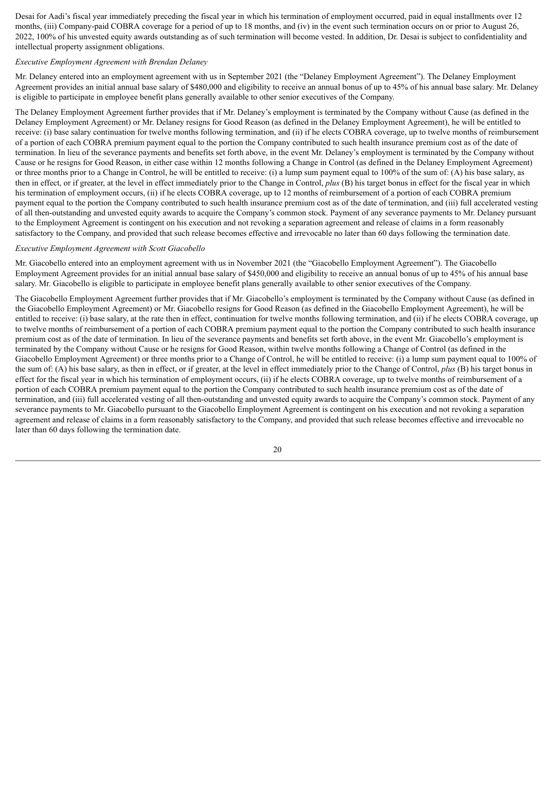Desai for Aadi's fiscal year immediately preceding the fiscal year in which his termination of employment occurred, paid in equal installments over 12 months, (iii) Company-paid COBRA coverage for a period of up to 18 months, and (iv) in the event such termination occurs on or prior to August 26, 2022, 100% of his unvested equity awards outstanding as of such termination will become vested. In addition, Dr. Desai is subject to confidentiality and intellectual property assignment obligations.

# *Executive Employment Agreement with Brendan Delaney*

Mr. Delaney entered into an employment agreement with us in September 2021 (the "Delaney Employment Agreement"). The Delaney Employment Agreement provides an initial annual base salary of \$480,000 and eligibility to receive an annual bonus of up to 45% of his annual base salary. Mr. Delaney is eligible to participate in employee benefit plans generally available to other senior executives of the Company.

The Delaney Employment Agreement further provides that if Mr. Delaney's employment is terminated by the Company without Cause (as defined in the Delaney Employment Agreement) or Mr. Delaney resigns for Good Reason (as defined in the Delaney Employment Agreement), he will be entitled to receive: (i) base salary continuation for twelve months following termination, and (ii) if he elects COBRA coverage, up to twelve months of reimbursement of a portion of each COBRA premium payment equal to the portion the Company contributed to such health insurance premium cost as of the date of termination. In lieu of the severance payments and benefits set forth above, in the event Mr. Delaney's employment is terminated by the Company without Cause or he resigns for Good Reason, in either case within 12 months following a Change in Control (as defined in the Delaney Employment Agreement) or three months prior to a Change in Control, he will be entitled to receive: (i) a lump sum payment equal to 100% of the sum of: (A) his base salary, as then in effect, or if greater, at the level in effect immediately prior to the Change in Control, *plus* (B) his target bonus in effect for the fiscal year in which his termination of employment occurs, (ii) if he elects COBRA coverage, up to 12 months of reimbursement of a portion of each COBRA premium payment equal to the portion the Company contributed to such health insurance premium cost as of the date of termination, and (iii) full accelerated vesting of all then-outstanding and unvested equity awards to acquire the Company's common stock. Payment of any severance payments to Mr. Delaney pursuant to the Employment Agreement is contingent on his execution and not revoking a separation agreement and release of claims in a form reasonably satisfactory to the Company, and provided that such release becomes effective and irrevocable no later than 60 days following the termination date.

#### *Executive Employment Agreement with Scott Giacobello*

Mr. Giacobello entered into an employment agreement with us in November 2021 (the "Giacobello Employment Agreement"). The Giacobello Employment Agreement provides for an initial annual base salary of \$450,000 and eligibility to receive an annual bonus of up to 45% of his annual base salary. Mr. Giacobello is eligible to participate in employee benefit plans generally available to other senior executives of the Company.

The Giacobello Employment Agreement further provides that if Mr. Giacobello's employment is terminated by the Company without Cause (as defined in the Giacobello Employment Agreement) or Mr. Giacobello resigns for Good Reason (as defined in the Giacobello Employment Agreement), he will be entitled to receive: (i) base salary, at the rate then in effect, continuation for twelve months following termination, and (ii) if he elects COBRA coverage, up to twelve months of reimbursement of a portion of each COBRA premium payment equal to the portion the Company contributed to such health insurance premium cost as of the date of termination. In lieu of the severance payments and benefits set forth above, in the event Mr. Giacobello's employment is terminated by the Company without Cause or he resigns for Good Reason, within twelve months following a Change of Control (as defined in the Giacobello Employment Agreement) or three months prior to a Change of Control, he will be entitled to receive: (i) a lump sum payment equal to 100% of the sum of: (A) his base salary, as then in effect, or if greater, at the level in effect immediately prior to the Change of Control, *plus* (B) his target bonus in effect for the fiscal year in which his termination of employment occurs, (ii) if he elects COBRA coverage, up to twelve months of reimbursement of a portion of each COBRA premium payment equal to the portion the Company contributed to such health insurance premium cost as of the date of termination, and (iii) full accelerated vesting of all then-outstanding and unvested equity awards to acquire the Company's common stock. Payment of any severance payments to Mr. Giacobello pursuant to the Giacobello Employment Agreement is contingent on his execution and not revoking a separation agreement and release of claims in a form reasonably satisfactory to the Company, and provided that such release becomes effective and irrevocable no later than 60 days following the termination date.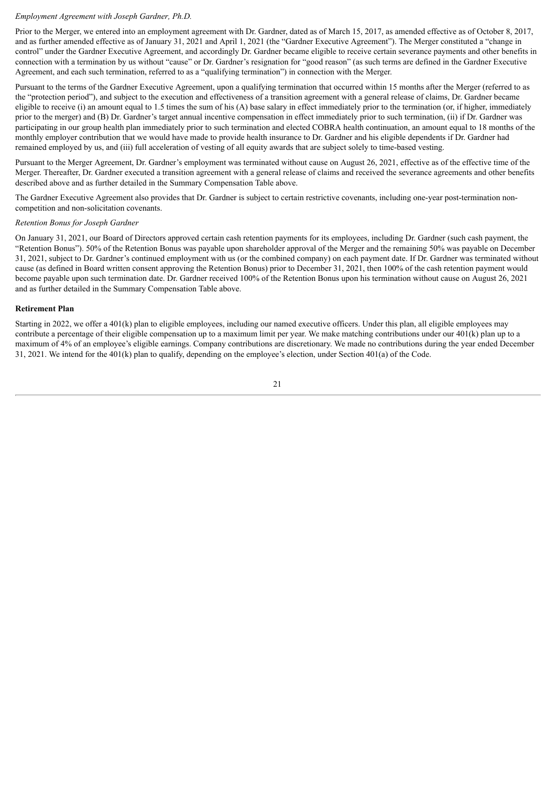#### *Employment Agreement with Joseph Gardner, Ph.D.*

Prior to the Merger, we entered into an employment agreement with Dr. Gardner, dated as of March 15, 2017, as amended effective as of October 8, 2017, and as further amended effective as of January 31, 2021 and April 1, 2021 (the "Gardner Executive Agreement"). The Merger constituted a "change in control" under the Gardner Executive Agreement, and accordingly Dr. Gardner became eligible to receive certain severance payments and other benefits in connection with a termination by us without "cause" or Dr. Gardner's resignation for "good reason" (as such terms are defined in the Gardner Executive Agreement, and each such termination, referred to as a "qualifying termination") in connection with the Merger.

Pursuant to the terms of the Gardner Executive Agreement, upon a qualifying termination that occurred within 15 months after the Merger (referred to as the "protection period"), and subject to the execution and effectiveness of a transition agreement with a general release of claims, Dr. Gardner became eligible to receive (i) an amount equal to 1.5 times the sum of his (A) base salary in effect immediately prior to the termination (or, if higher, immediately prior to the merger) and (B) Dr. Gardner's target annual incentive compensation in effect immediately prior to such termination, (ii) if Dr. Gardner was participating in our group health plan immediately prior to such termination and elected COBRA health continuation, an amount equal to 18 months of the monthly employer contribution that we would have made to provide health insurance to Dr. Gardner and his eligible dependents if Dr. Gardner had remained employed by us, and (iii) full acceleration of vesting of all equity awards that are subject solely to time-based vesting.

Pursuant to the Merger Agreement, Dr. Gardner's employment was terminated without cause on August 26, 2021, effective as of the effective time of the Merger. Thereafter, Dr. Gardner executed a transition agreement with a general release of claims and received the severance agreements and other benefits described above and as further detailed in the Summary Compensation Table above.

The Gardner Executive Agreement also provides that Dr. Gardner is subject to certain restrictive covenants, including one-year post-termination noncompetition and non-solicitation covenants.

# *Retention Bonus for Joseph Gardner*

On January 31, 2021, our Board of Directors approved certain cash retention payments for its employees, including Dr. Gardner (such cash payment, the "Retention Bonus"). 50% of the Retention Bonus was payable upon shareholder approval of the Merger and the remaining 50% was payable on December 31, 2021, subject to Dr. Gardner's continued employment with us (or the combined company) on each payment date. If Dr. Gardner was terminated without cause (as defined in Board written consent approving the Retention Bonus) prior to December 31, 2021, then 100% of the cash retention payment would become payable upon such termination date. Dr. Gardner received 100% of the Retention Bonus upon his termination without cause on August 26, 2021 and as further detailed in the Summary Compensation Table above.

#### **Retirement Plan**

Starting in 2022, we offer a 401(k) plan to eligible employees, including our named executive officers. Under this plan, all eligible employees may contribute a percentage of their eligible compensation up to a maximum limit per year. We make matching contributions under our 401(k) plan up to a maximum of 4% of an employee's eligible earnings. Company contributions are discretionary. We made no contributions during the year ended December 31, 2021. We intend for the  $401(k)$  plan to qualify, depending on the employee's election, under Section  $401(a)$  of the Code.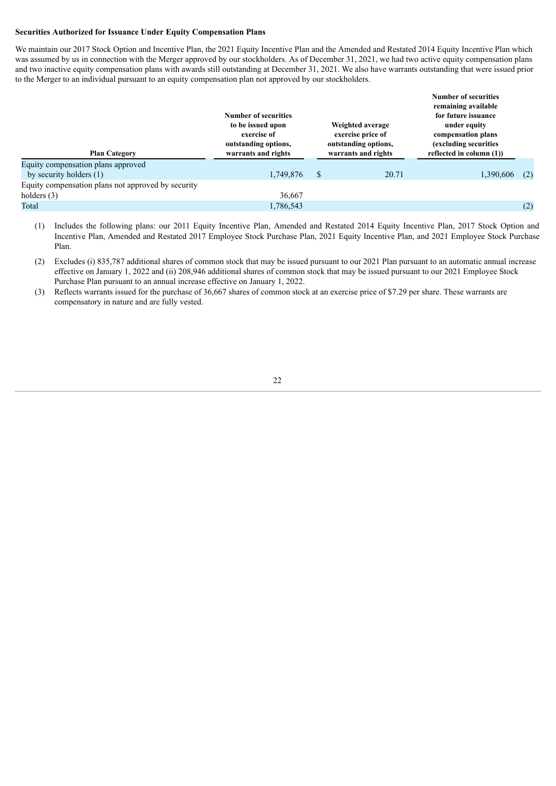#### **Securities Authorized for Issuance Under Equity Compensation Plans**

We maintain our 2017 Stock Option and Incentive Plan, the 2021 Equity Incentive Plan and the Amended and Restated 2014 Equity Incentive Plan which was assumed by us in connection with the Merger approved by our stockholders. As of December 31, 2021, we had two active equity compensation plans and two inactive equity compensation plans with awards still outstanding at December 31, 2021. We also have warrants outstanding that were issued prior to the Merger to an individual pursuant to an equity compensation plan not approved by our stockholders.

|                                                    | Number of securities<br>to be issued upon<br>exercise of<br>outstanding options, |               | Weighted average<br>exercise price of<br>outstanding options, | <b>Number of securities</b><br>remaining available<br>for future issuance<br>under equity<br>compensation plans<br>(excluding securities |     |
|----------------------------------------------------|----------------------------------------------------------------------------------|---------------|---------------------------------------------------------------|------------------------------------------------------------------------------------------------------------------------------------------|-----|
| <b>Plan Category</b>                               | warrants and rights                                                              |               | warrants and rights                                           | reflected in column $(1)$ )                                                                                                              |     |
| Equity compensation plans approved                 |                                                                                  |               |                                                               |                                                                                                                                          |     |
| by security holders $(1)$                          | 1,749,876                                                                        | <sup>\$</sup> | 20.71                                                         | 1,390,606                                                                                                                                | (2) |
| Equity compensation plans not approved by security |                                                                                  |               |                                                               |                                                                                                                                          |     |
| holders $(3)$                                      | 36,667                                                                           |               |                                                               |                                                                                                                                          |     |
| Total                                              | 1,786,543                                                                        |               |                                                               |                                                                                                                                          | (2) |

- (1) Includes the following plans: our 2011 Equity Incentive Plan, Amended and Restated 2014 Equity Incentive Plan, 2017 Stock Option and Incentive Plan, Amended and Restated 2017 Employee Stock Purchase Plan, 2021 Equity Incentive Plan, and 2021 Employee Stock Purchase Plan.
- (2) Excludes (i) 835,787 additional shares of common stock that may be issued pursuant to our 2021 Plan pursuant to an automatic annual increase effective on January 1, 2022 and (ii) 208,946 additional shares of common stock that may be issued pursuant to our 2021 Employee Stock Purchase Plan pursuant to an annual increase effective on January 1, 2022.
- (3) Reflects warrants issued for the purchase of 36,667 shares of common stock at an exercise price of \$7.29 per share. These warrants are compensatory in nature and are fully vested.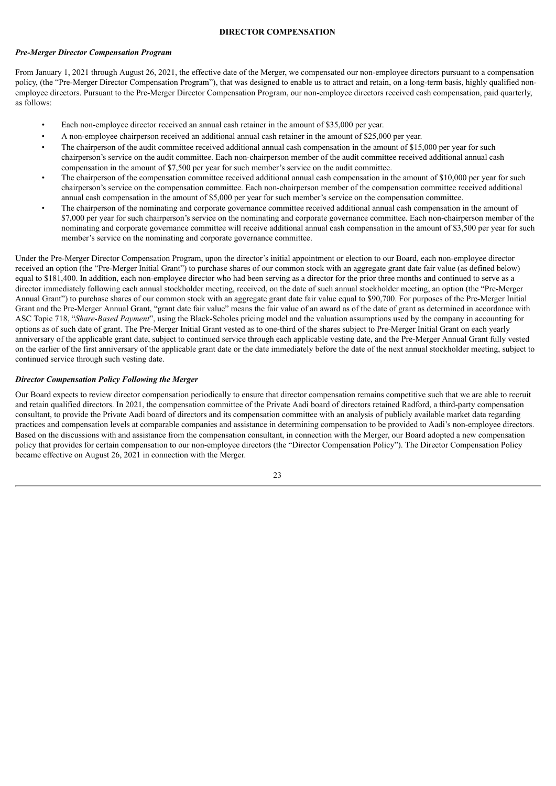#### **DIRECTOR COMPENSATION**

#### <span id="page-27-0"></span>*Pre-Merger Director Compensation Program*

From January 1, 2021 through August 26, 2021, the effective date of the Merger, we compensated our non-employee directors pursuant to a compensation policy, (the "Pre-Merger Director Compensation Program"), that was designed to enable us to attract and retain, on a long-term basis, highly qualified nonemployee directors. Pursuant to the Pre-Merger Director Compensation Program, our non-employee directors received cash compensation, paid quarterly, as follows:

- Each non-employee director received an annual cash retainer in the amount of \$35,000 per year.
- A non-employee chairperson received an additional annual cash retainer in the amount of \$25,000 per year.
- The chairperson of the audit committee received additional annual cash compensation in the amount of \$15,000 per year for such chairperson's service on the audit committee. Each non-chairperson member of the audit committee received additional annual cash compensation in the amount of \$7,500 per year for such member's service on the audit committee.
- The chairperson of the compensation committee received additional annual cash compensation in the amount of \$10,000 per year for such chairperson's service on the compensation committee. Each non-chairperson member of the compensation committee received additional annual cash compensation in the amount of \$5,000 per year for such member's service on the compensation committee.
- The chairperson of the nominating and corporate governance committee received additional annual cash compensation in the amount of \$7,000 per year for such chairperson's service on the nominating and corporate governance committee. Each non-chairperson member of the nominating and corporate governance committee will receive additional annual cash compensation in the amount of \$3,500 per year for such member's service on the nominating and corporate governance committee.

Under the Pre-Merger Director Compensation Program, upon the director's initial appointment or election to our Board, each non-employee director received an option (the "Pre-Merger Initial Grant") to purchase shares of our common stock with an aggregate grant date fair value (as defined below) equal to \$181,400. In addition, each non-employee director who had been serving as a director for the prior three months and continued to serve as a director immediately following each annual stockholder meeting, received, on the date of such annual stockholder meeting, an option (the "Pre-Merger Annual Grant") to purchase shares of our common stock with an aggregate grant date fair value equal to \$90,700. For purposes of the Pre-Merger Initial Grant and the Pre-Merger Annual Grant, "grant date fair value" means the fair value of an award as of the date of grant as determined in accordance with ASC Topic 718, "*Share-Based Payment*", using the Black-Scholes pricing model and the valuation assumptions used by the company in accounting for options as of such date of grant. The Pre-Merger Initial Grant vested as to one-third of the shares subject to Pre-Merger Initial Grant on each yearly anniversary of the applicable grant date, subject to continued service through each applicable vesting date, and the Pre-Merger Annual Grant fully vested on the earlier of the first anniversary of the applicable grant date or the date immediately before the date of the next annual stockholder meeting, subject to continued service through such vesting date.

#### *Director Compensation Policy Following the Merger*

Our Board expects to review director compensation periodically to ensure that director compensation remains competitive such that we are able to recruit and retain qualified directors. In 2021, the compensation committee of the Private Aadi board of directors retained Radford, a third-party compensation consultant, to provide the Private Aadi board of directors and its compensation committee with an analysis of publicly available market data regarding practices and compensation levels at comparable companies and assistance in determining compensation to be provided to Aadi's non-employee directors. Based on the discussions with and assistance from the compensation consultant, in connection with the Merger, our Board adopted a new compensation policy that provides for certain compensation to our non-employee directors (the "Director Compensation Policy"). The Director Compensation Policy became effective on August 26, 2021 in connection with the Merger.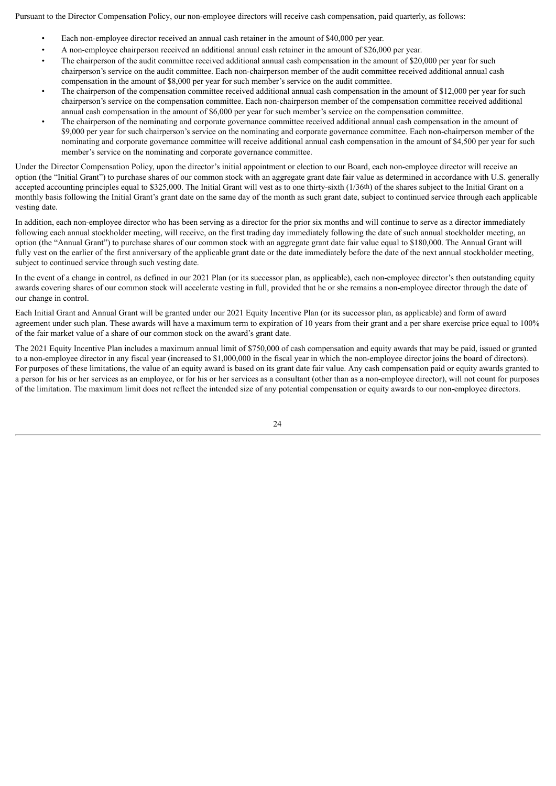Pursuant to the Director Compensation Policy, our non-employee directors will receive cash compensation, paid quarterly, as follows:

- Each non-employee director received an annual cash retainer in the amount of \$40,000 per year.
- A non-employee chairperson received an additional annual cash retainer in the amount of \$26,000 per year.
- The chairperson of the audit committee received additional annual cash compensation in the amount of \$20,000 per year for such chairperson's service on the audit committee. Each non-chairperson member of the audit committee received additional annual cash compensation in the amount of \$8,000 per year for such member's service on the audit committee.
- The chairperson of the compensation committee received additional annual cash compensation in the amount of \$12,000 per year for such chairperson's service on the compensation committee. Each non-chairperson member of the compensation committee received additional annual cash compensation in the amount of \$6,000 per year for such member's service on the compensation committee.
- The chairperson of the nominating and corporate governance committee received additional annual cash compensation in the amount of \$9,000 per year for such chairperson's service on the nominating and corporate governance committee. Each non-chairperson member of the nominating and corporate governance committee will receive additional annual cash compensation in the amount of \$4,500 per year for such member's service on the nominating and corporate governance committee.

Under the Director Compensation Policy, upon the director's initial appointment or election to our Board, each non-employee director will receive an option (the "Initial Grant") to purchase shares of our common stock with an aggregate grant date fair value as determined in accordance with U.S. generally accepted accounting principles equal to \$325,000. The Initial Grant will vest as to one thirty-sixth (1/36<sup>th</sup>) of the shares subject to the Initial Grant on a monthly basis following the Initial Grant's grant date on the same day of the month as such grant date, subject to continued service through each applicable vesting date.

In addition, each non-employee director who has been serving as a director for the prior six months and will continue to serve as a director immediately following each annual stockholder meeting, will receive, on the first trading day immediately following the date of such annual stockholder meeting, an option (the "Annual Grant") to purchase shares of our common stock with an aggregate grant date fair value equal to \$180,000. The Annual Grant will fully vest on the earlier of the first anniversary of the applicable grant date or the date immediately before the date of the next annual stockholder meeting, subject to continued service through such vesting date.

In the event of a change in control, as defined in our 2021 Plan (or its successor plan, as applicable), each non-employee director's then outstanding equity awards covering shares of our common stock will accelerate vesting in full, provided that he or she remains a non-employee director through the date of our change in control.

Each Initial Grant and Annual Grant will be granted under our 2021 Equity Incentive Plan (or its successor plan, as applicable) and form of award agreement under such plan. These awards will have a maximum term to expiration of 10 years from their grant and a per share exercise price equal to 100% of the fair market value of a share of our common stock on the award's grant date.

The 2021 Equity Incentive Plan includes a maximum annual limit of \$750,000 of cash compensation and equity awards that may be paid, issued or granted to a non-employee director in any fiscal year (increased to \$1,000,000 in the fiscal year in which the non-employee director joins the board of directors). For purposes of these limitations, the value of an equity award is based on its grant date fair value. Any cash compensation paid or equity awards granted to a person for his or her services as an employee, or for his or her services as a consultant (other than as a non-employee director), will not count for purposes of the limitation. The maximum limit does not reflect the intended size of any potential compensation or equity awards to our non-employee directors.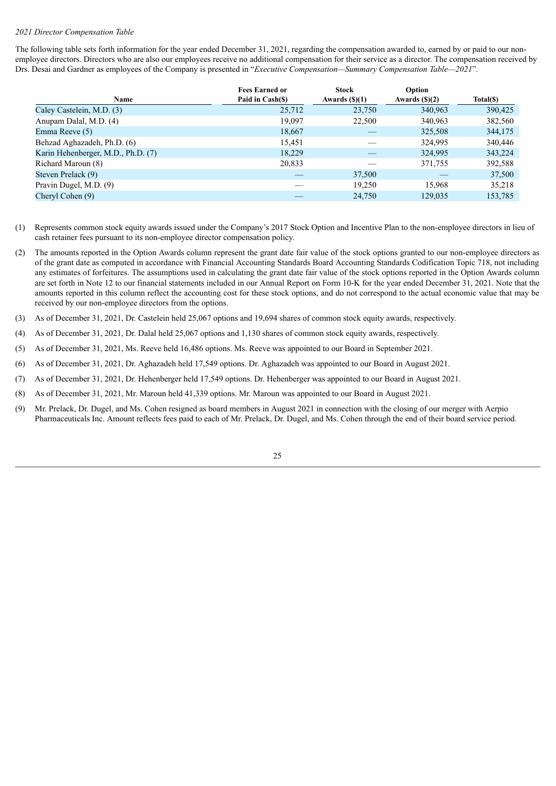#### *2021 Director Compensation Table*

The following table sets forth information for the year ended December 31, 2021, regarding the compensation awarded to, earned by or paid to our nonemployee directors. Directors who are also our employees receive no additional compensation for their service as a director. The compensation received by Drs. Desai and Gardner as employees of the Company is presented in "*Executive Compensation—Summary Compensation Table—2021*".

|                                    | <b>Fees Earned or</b> | <b>Stock</b>            | Option                 |           |
|------------------------------------|-----------------------|-------------------------|------------------------|-----------|
| Name                               | Paid in Cash(\$)      | Awards $(\text{\$})(1)$ | Awards $(\text{S})(2)$ | Total(\$) |
| Caley Castelein, M.D. (3)          | 25,712                | 23,750                  | 340,963                | 390,425   |
| Anupam Dalal, M.D. (4)             | 19,097                | 22,500                  | 340,963                | 382,560   |
| Emma Reeve (5)                     | 18,667                |                         | 325,508                | 344,175   |
| Behzad Aghazadeh, Ph.D. (6)        | 15,451                |                         | 324,995                | 340,446   |
| Karin Hehenberger, M.D., Ph.D. (7) | 18,229                |                         | 324,995                | 343,224   |
| Richard Maroun (8)                 | 20,833                |                         | 371,755                | 392,588   |
| Steven Prelack (9)                 |                       | 37,500                  |                        | 37,500    |
| Pravin Dugel, M.D. (9)             |                       | 19.250                  | 15.968                 | 35,218    |
| Cheryl Cohen (9)                   |                       | 24,750                  | 129,035                | 153,785   |

- (1) Represents common stock equity awards issued under the Company's 2017 Stock Option and Incentive Plan to the non-employee directors in lieu of cash retainer fees pursuant to its non-employee director compensation policy.
- (2) The amounts reported in the Option Awards column represent the grant date fair value of the stock options granted to our non-employee directors as of the grant date as computed in accordance with Financial Accounting Standards Board Accounting Standards Codification Topic 718, not including any estimates of forfeitures. The assumptions used in calculating the grant date fair value of the stock options reported in the Option Awards column are set forth in Note 12 to our financial statements included in our Annual Report on Form 10-K for the year ended December 31, 2021. Note that the amounts reported in this column reflect the accounting cost for these stock options, and do not correspond to the actual economic value that may be received by our non-employee directors from the options.
- (3) As of December 31, 2021, Dr. Castelein held 25,067 options and 19,694 shares of common stock equity awards, respectively.
- (4) As of December 31, 2021, Dr. Dalal held 25,067 options and 1,130 shares of common stock equity awards, respectively.
- (5) As of December 31, 2021, Ms. Reeve held 16,486 options. Ms. Reeve was appointed to our Board in September 2021.
- (6) As of December 31, 2021, Dr. Aghazadeh held 17,549 options. Dr. Aghazadeh was appointed to our Board in August 2021.
- (7) As of December 31, 2021, Dr. Hehenberger held 17,549 options. Dr. Hehenberger was appointed to our Board in August 2021.
- (8) As of December 31, 2021, Mr. Maroun held 41,339 options. Mr. Maroun was appointed to our Board in August 2021.
- (9) Mr. Prelack, Dr. Dugel, and Ms. Cohen resigned as board members in August 2021 in connection with the closing of our merger with Aerpio Pharmaceuticals Inc. Amount reflects fees paid to each of Mr. Prelack, Dr. Dugel, and Ms. Cohen through the end of their board service period.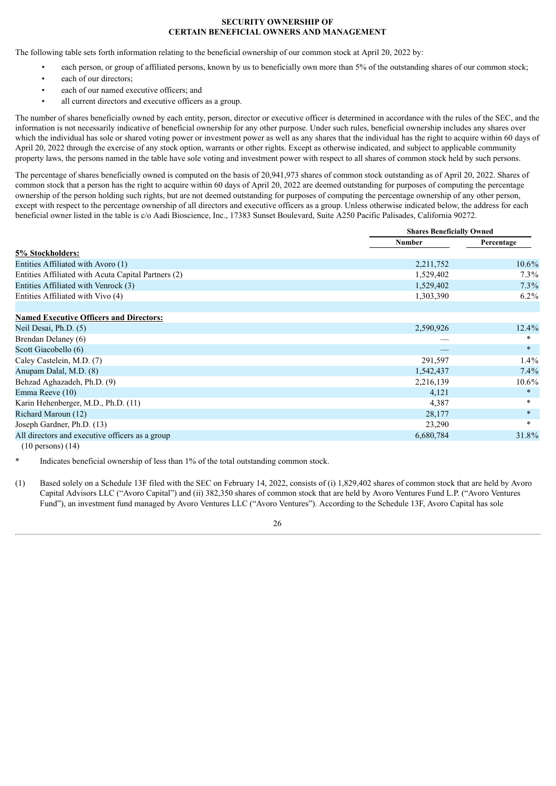# **SECURITY OWNERSHIP OF CERTAIN BENEFICIAL OWNERS AND MANAGEMENT**

<span id="page-30-0"></span>The following table sets forth information relating to the beneficial ownership of our common stock at April 20, 2022 by:

- each person, or group of affiliated persons, known by us to beneficially own more than 5% of the outstanding shares of our common stock;
- each of our directors:
- each of our named executive officers; and
- all current directors and executive officers as a group.

The number of shares beneficially owned by each entity, person, director or executive officer is determined in accordance with the rules of the SEC, and the information is not necessarily indicative of beneficial ownership for any other purpose. Under such rules, beneficial ownership includes any shares over which the individual has sole or shared voting power or investment power as well as any shares that the individual has the right to acquire within 60 days of April 20, 2022 through the exercise of any stock option, warrants or other rights. Except as otherwise indicated, and subject to applicable community property laws, the persons named in the table have sole voting and investment power with respect to all shares of common stock held by such persons.

The percentage of shares beneficially owned is computed on the basis of 20,941,973 shares of common stock outstanding as of April 20, 2022. Shares of common stock that a person has the right to acquire within 60 days of April 20, 2022 are deemed outstanding for purposes of computing the percentage ownership of the person holding such rights, but are not deemed outstanding for purposes of computing the percentage ownership of any other person, except with respect to the percentage ownership of all directors and executive officers as a group. Unless otherwise indicated below, the address for each beneficial owner listed in the table is c/o Aadi Bioscience, Inc., 17383 Sunset Boulevard, Suite A250 Pacific Palisades, California 90272.

|                                                     |               | <b>Shares Beneficially Owned</b> |  |
|-----------------------------------------------------|---------------|----------------------------------|--|
|                                                     | <b>Number</b> | Percentage                       |  |
| 5% Stockholders:                                    |               |                                  |  |
| Entities Affiliated with Avoro (1)                  | 2,211,752     | $10.6\%$                         |  |
| Entities Affiliated with Acuta Capital Partners (2) | 1,529,402     | $7.3\%$                          |  |
| Entities Affiliated with Venrock (3)                | 1,529,402     | $7.3\%$                          |  |
| Entities Affiliated with Vivo (4)                   | 1,303,390     | $6.2\%$                          |  |
| <b>Named Executive Officers and Directors:</b>      |               |                                  |  |
| Neil Desai, Ph.D. (5)                               | 2,590,926     | $12.4\%$                         |  |
| Brendan Delaney (6)                                 |               | *                                |  |
| Scott Giacobello (6)                                |               | $\ast$                           |  |
| Caley Castelein, M.D. (7)                           | 291,597       | $1.4\%$                          |  |
| Anupam Dalal, M.D. (8)                              | 1,542,437     | $7.4\%$                          |  |
| Behzad Aghazadeh, Ph.D. (9)                         | 2,216,139     | $10.6\%$                         |  |
| Emma Reeve (10)                                     | 4,121         | $\ast$                           |  |
| Karin Hehenberger, M.D., Ph.D. (11)                 | 4,387         | $\ast$                           |  |
| Richard Maroun (12)                                 | 28,177        | $\ast$                           |  |
| Joseph Gardner, Ph.D. (13)                          | 23,290        | $\ast$                           |  |
| All directors and executive officers as a group     | 6,680,784     | 31.8%                            |  |
|                                                     |               |                                  |  |

(10 persons) (14)

Indicates beneficial ownership of less than 1% of the total outstanding common stock.

(1) Based solely on a Schedule 13F filed with the SEC on February 14, 2022, consists of (i) 1,829,402 shares of common stock that are held by Avoro Capital Advisors LLC ("Avoro Capital") and (ii) 382,350 shares of common stock that are held by Avoro Ventures Fund L.P. ("Avoro Ventures Fund"), an investment fund managed by Avoro Ventures LLC ("Avoro Ventures"). According to the Schedule 13F, Avoro Capital has sole

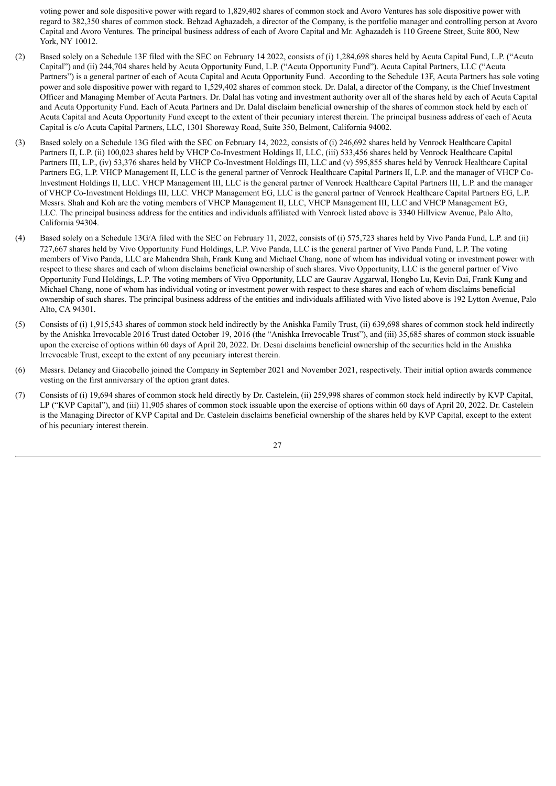voting power and sole dispositive power with regard to 1,829,402 shares of common stock and Avoro Ventures has sole dispositive power with regard to 382,350 shares of common stock. Behzad Aghazadeh, a director of the Company, is the portfolio manager and controlling person at Avoro Capital and Avoro Ventures. The principal business address of each of Avoro Capital and Mr. Aghazadeh is 110 Greene Street, Suite 800, New York, NY 10012.

- (2) Based solely on a Schedule 13F filed with the SEC on February 14 2022, consists of (i) 1,284,698 shares held by Acuta Capital Fund, L.P. ("Acuta Capital") and (ii) 244,704 shares held by Acuta Opportunity Fund, L.P. ("Acuta Opportunity Fund"). Acuta Capital Partners, LLC ("Acuta Partners") is a general partner of each of Acuta Capital and Acuta Opportunity Fund. According to the Schedule 13F, Acuta Partners has sole voting power and sole dispositive power with regard to 1,529,402 shares of common stock. Dr. Dalal, a director of the Company, is the Chief Investment Officer and Managing Member of Acuta Partners. Dr. Dalal has voting and investment authority over all of the shares held by each of Acuta Capital and Acuta Opportunity Fund. Each of Acuta Partners and Dr. Dalal disclaim beneficial ownership of the shares of common stock held by each of Acuta Capital and Acuta Opportunity Fund except to the extent of their pecuniary interest therein. The principal business address of each of Acuta Capital is c/o Acuta Capital Partners, LLC, 1301 Shoreway Road, Suite 350, Belmont, California 94002.
- (3) Based solely on a Schedule 13G filed with the SEC on February 14, 2022, consists of (i) 246,692 shares held by Venrock Healthcare Capital Partners II, L.P. (ii) 100,023 shares held by VHCP Co-Investment Holdings II, LLC, (iii) 533,456 shares held by Venrock Healthcare Capital Partners III, L.P., (iv) 53,376 shares held by VHCP Co-Investment Holdings III, LLC and (v) 595,855 shares held by Venrock Healthcare Capital Partners EG, L.P. VHCP Management II, LLC is the general partner of Venrock Healthcare Capital Partners II, L.P. and the manager of VHCP Co-Investment Holdings II, LLC. VHCP Management III, LLC is the general partner of Venrock Healthcare Capital Partners III, L.P. and the manager of VHCP Co-Investment Holdings III, LLC. VHCP Management EG, LLC is the general partner of Venrock Healthcare Capital Partners EG, L.P. Messrs. Shah and Koh are the voting members of VHCP Management II, LLC, VHCP Management III, LLC and VHCP Management EG, LLC. The principal business address for the entities and individuals affiliated with Venrock listed above is 3340 Hillview Avenue, Palo Alto, California 94304.
- (4) Based solely on a Schedule 13G/A filed with the SEC on February 11, 2022, consists of (i) 575,723 shares held by Vivo Panda Fund, L.P. and (ii) 727,667 shares held by Vivo Opportunity Fund Holdings, L.P. Vivo Panda, LLC is the general partner of Vivo Panda Fund, L.P. The voting members of Vivo Panda, LLC are Mahendra Shah, Frank Kung and Michael Chang, none of whom has individual voting or investment power with respect to these shares and each of whom disclaims beneficial ownership of such shares. Vivo Opportunity, LLC is the general partner of Vivo Opportunity Fund Holdings, L.P. The voting members of Vivo Opportunity, LLC are Gaurav Aggarwal, Hongbo Lu, Kevin Dai, Frank Kung and Michael Chang, none of whom has individual voting or investment power with respect to these shares and each of whom disclaims beneficial ownership of such shares. The principal business address of the entities and individuals affiliated with Vivo listed above is 192 Lytton Avenue, Palo Alto, CA 94301.
- (5) Consists of (i) 1,915,543 shares of common stock held indirectly by the Anishka Family Trust, (ii) 639,698 shares of common stock held indirectly by the Anishka Irrevocable 2016 Trust dated October 19, 2016 (the "Anishka Irrevocable Trust"), and (iii) 35,685 shares of common stock issuable upon the exercise of options within 60 days of April 20, 2022. Dr. Desai disclaims beneficial ownership of the securities held in the Anishka Irrevocable Trust, except to the extent of any pecuniary interest therein.
- (6) Messrs. Delaney and Giacobello joined the Company in September 2021 and November 2021, respectively. Their initial option awards commence vesting on the first anniversary of the option grant dates.
- (7) Consists of (i) 19,694 shares of common stock held directly by Dr. Castelein, (ii) 259,998 shares of common stock held indirectly by KVP Capital, LP ("KVP Capital"), and (iii) 11,905 shares of common stock issuable upon the exercise of options within 60 days of April 20, 2022. Dr. Castelein is the Managing Director of KVP Capital and Dr. Castelein disclaims beneficial ownership of the shares held by KVP Capital, except to the extent of his pecuniary interest therein.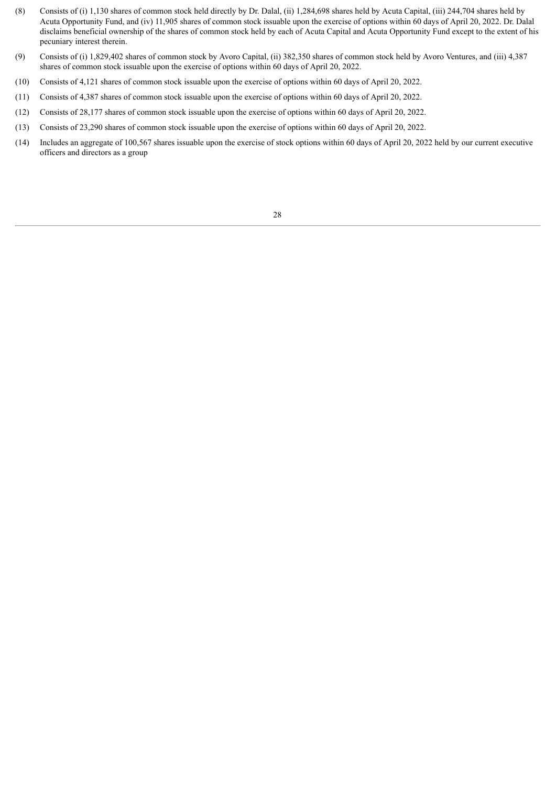- (8) Consists of (i) 1,130 shares of common stock held directly by Dr. Dalal, (ii) 1,284,698 shares held by Acuta Capital, (iii) 244,704 shares held by Acuta Opportunity Fund, and (iv) 11,905 shares of common stock issuable upon the exercise of options within 60 days of April 20, 2022. Dr. Dalal disclaims beneficial ownership of the shares of common stock held by each of Acuta Capital and Acuta Opportunity Fund except to the extent of his pecuniary interest therein.
- (9) Consists of (i) 1,829,402 shares of common stock by Avoro Capital, (ii) 382,350 shares of common stock held by Avoro Ventures, and (iii) 4,387 shares of common stock issuable upon the exercise of options within 60 days of April 20, 2022.
- (10) Consists of 4,121 shares of common stock issuable upon the exercise of options within 60 days of April 20, 2022.
- (11) Consists of 4,387 shares of common stock issuable upon the exercise of options within 60 days of April 20, 2022.
- (12) Consists of 28,177 shares of common stock issuable upon the exercise of options within 60 days of April 20, 2022.
- (13) Consists of 23,290 shares of common stock issuable upon the exercise of options within 60 days of April 20, 2022.
- (14) Includes an aggregate of 100,567 shares issuable upon the exercise of stock options within 60 days of April 20, 2022 held by our current executive officers and directors as a group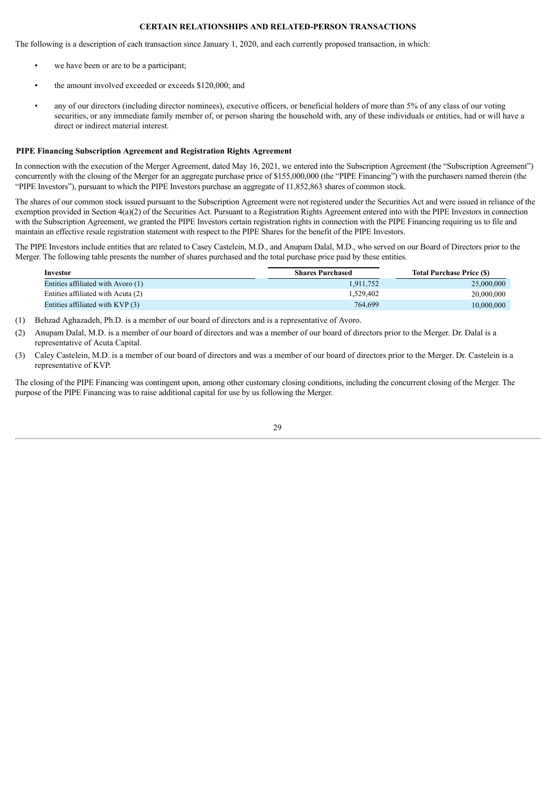# **CERTAIN RELATIONSHIPS AND RELATED-PERSON TRANSACTIONS**

<span id="page-33-0"></span>The following is a description of each transaction since January 1, 2020, and each currently proposed transaction, in which:

- we have been or are to be a participant;
- the amount involved exceeded or exceeds \$120,000; and
- any of our directors (including director nominees), executive officers, or beneficial holders of more than 5% of any class of our voting securities, or any immediate family member of, or person sharing the household with, any of these individuals or entities, had or will have a direct or indirect material interest.

#### **PIPE Financing Subscription Agreement and Registration Rights Agreement**

In connection with the execution of the Merger Agreement, dated May 16, 2021, we entered into the Subscription Agreement (the "Subscription Agreement") concurrently with the closing of the Merger for an aggregate purchase price of \$155,000,000 (the "PIPE Financing") with the purchasers named therein (the "PIPE Investors"), pursuant to which the PIPE Investors purchase an aggregate of 11,852,863 shares of common stock.

The shares of our common stock issued pursuant to the Subscription Agreement were not registered under the Securities Act and were issued in reliance of the exemption provided in Section 4(a)(2) of the Securities Act. Pursuant to a Registration Rights Agreement entered into with the PIPE Investors in connection with the Subscription Agreement, we granted the PIPE Investors certain registration rights in connection with the PIPE Financing requiring us to file and maintain an effective resale registration statement with respect to the PIPE Shares for the benefit of the PIPE Investors.

The PIPE Investors include entities that are related to Casey Castelein, M.D., and Anupam Dalal, M.D., who served on our Board of Directors prior to the Merger. The following table presents the number of shares purchased and the total purchase price paid by these entities.

| Investor                           | <b>Shares Purchased</b> | <b>Total Purchase Price (S)</b> |
|------------------------------------|-------------------------|---------------------------------|
| Entities affiliated with Avoro (1) | 1,911,752               | 25,000,000                      |
| Entities affiliated with Acuta (2) | 1.529.402               | 20,000,000                      |
| Entities affiliated with KVP (3)   | 764.699                 | 10,000,000                      |

- (1) Behzad Aghazadeh, Ph.D. is a member of our board of directors and is a representative of Avoro.
- (2) Anupam Dalal, M.D. is a member of our board of directors and was a member of our board of directors prior to the Merger. Dr. Dalal is a representative of Acuta Capital.
- (3) Caley Castelein, M.D. is a member of our board of directors and was a member of our board of directors prior to the Merger. Dr. Castelein is a representative of KVP.

The closing of the PIPE Financing was contingent upon, among other customary closing conditions, including the concurrent closing of the Merger. The purpose of the PIPE Financing was to raise additional capital for use by us following the Merger.

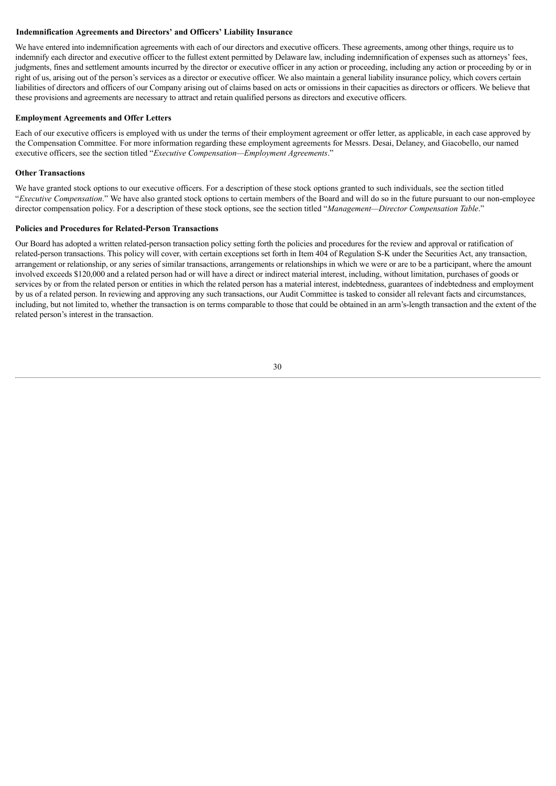#### **Indemnification Agreements and Directors' and Officers' Liability Insurance**

We have entered into indemnification agreements with each of our directors and executive officers. These agreements, among other things, require us to indemnify each director and executive officer to the fullest extent permitted by Delaware law, including indemnification of expenses such as attorneys' fees, judgments, fines and settlement amounts incurred by the director or executive officer in any action or proceeding, including any action or proceeding by or in right of us, arising out of the person's services as a director or executive officer. We also maintain a general liability insurance policy, which covers certain liabilities of directors and officers of our Company arising out of claims based on acts or omissions in their capacities as directors or officers. We believe that these provisions and agreements are necessary to attract and retain qualified persons as directors and executive officers.

#### **Employment Agreements and Offer Letters**

Each of our executive officers is employed with us under the terms of their employment agreement or offer letter, as applicable, in each case approved by the Compensation Committee. For more information regarding these employment agreements for Messrs. Desai, Delaney, and Giacobello, our named executive officers, see the section titled "*Executive Compensation—Employment Agreements*."

#### **Other Transactions**

We have granted stock options to our executive officers. For a description of these stock options granted to such individuals, see the section titled "*Executive Compensation*." We have also granted stock options to certain members of the Board and will do so in the future pursuant to our non-employee director compensation policy. For a description of these stock options, see the section titled "*Management—Director Compensation Table*."

#### **Policies and Procedures for Related-Person Transactions**

Our Board has adopted a written related-person transaction policy setting forth the policies and procedures for the review and approval or ratification of related-person transactions. This policy will cover, with certain exceptions set forth in Item 404 of Regulation S-K under the Securities Act, any transaction, arrangement or relationship, or any series of similar transactions, arrangements or relationships in which we were or are to be a participant, where the amount involved exceeds \$120,000 and a related person had or will have a direct or indirect material interest, including, without limitation, purchases of goods or services by or from the related person or entities in which the related person has a material interest, indebtedness, guarantees of indebtedness and employment by us of a related person. In reviewing and approving any such transactions, our Audit Committee is tasked to consider all relevant facts and circumstances, including, but not limited to, whether the transaction is on terms comparable to those that could be obtained in an arm's-length transaction and the extent of the related person's interest in the transaction.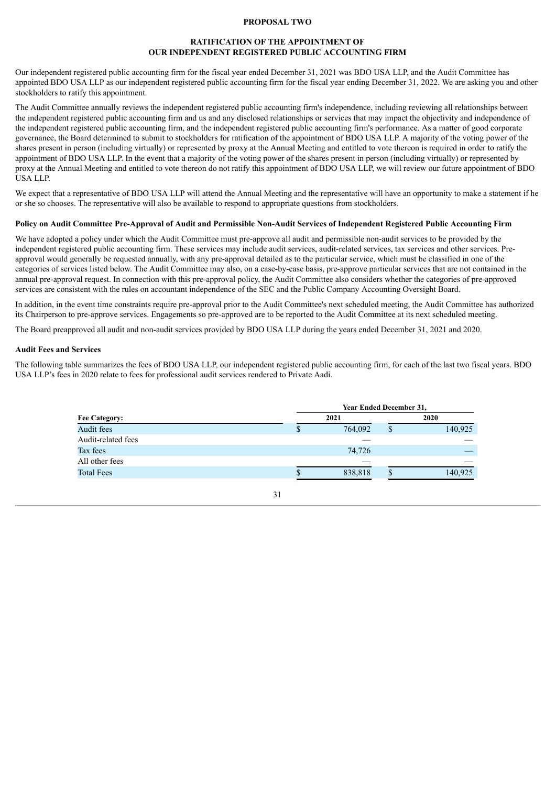#### **PROPOSAL TWO**

# **RATIFICATION OF THE APPOINTMENT OF OUR INDEPENDENT REGISTERED PUBLIC ACCOUNTING FIRM**

<span id="page-35-0"></span>Our independent registered public accounting firm for the fiscal year ended December 31, 2021 was BDO USA LLP, and the Audit Committee has appointed BDO USA LLP as our independent registered public accounting firm for the fiscal year ending December 31, 2022. We are asking you and other stockholders to ratify this appointment.

The Audit Committee annually reviews the independent registered public accounting firm's independence, including reviewing all relationships between the independent registered public accounting firm and us and any disclosed relationships or services that may impact the objectivity and independence of the independent registered public accounting firm, and the independent registered public accounting firm's performance. As a matter of good corporate governance, the Board determined to submit to stockholders for ratification of the appointment of BDO USA LLP. A majority of the voting power of the shares present in person (including virtually) or represented by proxy at the Annual Meeting and entitled to vote thereon is required in order to ratify the appointment of BDO USA LLP. In the event that a majority of the voting power of the shares present in person (including virtually) or represented by proxy at the Annual Meeting and entitled to vote thereon do not ratify this appointment of BDO USA LLP, we will review our future appointment of BDO USA LLP.

We expect that a representative of BDO USA LLP will attend the Annual Meeting and the representative will have an opportunity to make a statement if he or she so chooses. The representative will also be available to respond to appropriate questions from stockholders.

# Policy on Audit Committee Pre-Approval of Audit and Permissible Non-Audit Services of Independent Registered Public Accounting Firm

We have adopted a policy under which the Audit Committee must pre-approve all audit and permissible non-audit services to be provided by the independent registered public accounting firm. These services may include audit services, audit-related services, tax services and other services. Preapproval would generally be requested annually, with any pre-approval detailed as to the particular service, which must be classified in one of the categories of services listed below. The Audit Committee may also, on a case-by-case basis, pre-approve particular services that are not contained in the annual pre-approval request. In connection with this pre-approval policy, the Audit Committee also considers whether the categories of pre-approved services are consistent with the rules on accountant independence of the SEC and the Public Company Accounting Oversight Board.

In addition, in the event time constraints require pre-approval prior to the Audit Committee's next scheduled meeting, the Audit Committee has authorized its Chairperson to pre-approve services. Engagements so pre-approved are to be reported to the Audit Committee at its next scheduled meeting.

The Board preapproved all audit and non-audit services provided by BDO USA LLP during the years ended December 31, 2021 and 2020.

#### **Audit Fees and Services**

The following table summarizes the fees of BDO USA LLP, our independent registered public accounting firm, for each of the last two fiscal years. BDO USA LLP's fees in 2020 relate to fees for professional audit services rendered to Private Aadi.

|                      | <b>Year Ended December 31,</b> |  |         |  |
|----------------------|--------------------------------|--|---------|--|
| <b>Fee Category:</b> | 2021                           |  | 2020    |  |
| Audit fees           | \$<br>764,092                  |  | 140,925 |  |
| Audit-related fees   |                                |  |         |  |
| Tax fees             | 74,726                         |  |         |  |
| All other fees       |                                |  |         |  |
| <b>Total Fees</b>    | 838,818                        |  | 140,925 |  |
|                      |                                |  |         |  |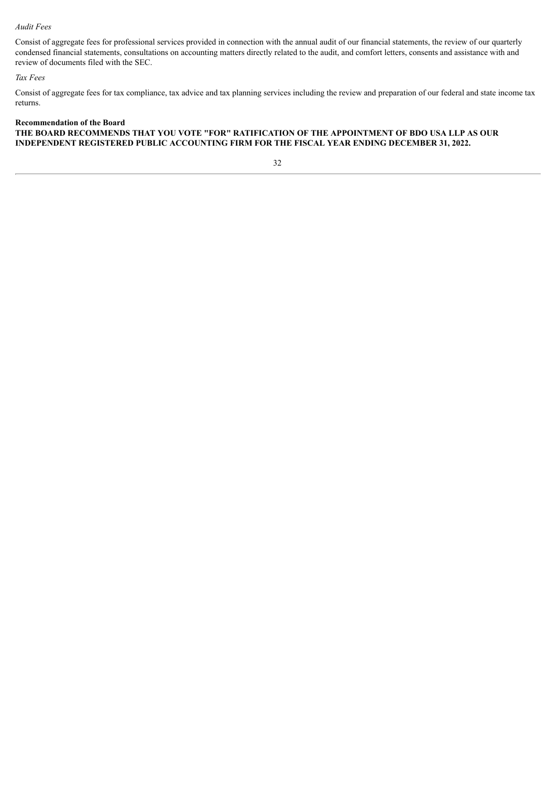# *Audit Fees*

Consist of aggregate fees for professional services provided in connection with the annual audit of our financial statements, the review of our quarterly condensed financial statements, consultations on accounting matters directly related to the audit, and comfort letters, consents and assistance with and review of documents filed with the SEC.

# *Tax Fees*

Consist of aggregate fees for tax compliance, tax advice and tax planning services including the review and preparation of our federal and state income tax returns.

# **Recommendation of the Board THE BOARD RECOMMENDS THAT YOU VOTE "FOR" RATIFICATION OF THE APPOINTMENT OF BDO USA LLP AS OUR INDEPENDENT REGISTERED PUBLIC ACCOUNTING FIRM FOR THE FISCAL YEAR ENDING DECEMBER 31, 2022.**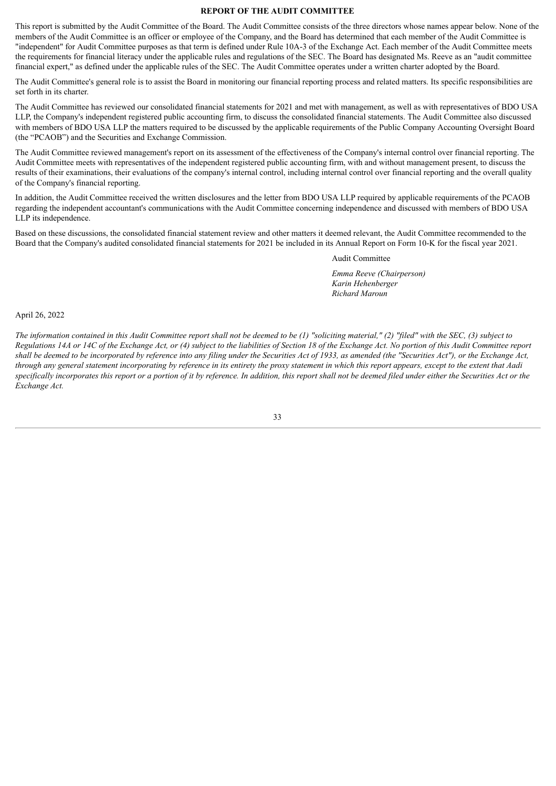# **REPORT OF THE AUDIT COMMITTEE**

This report is submitted by the Audit Committee of the Board. The Audit Committee consists of the three directors whose names appear below. None of the members of the Audit Committee is an officer or employee of the Company, and the Board has determined that each member of the Audit Committee is "independent" for Audit Committee purposes as that term is defined under Rule 10A-3 of the Exchange Act. Each member of the Audit Committee meets the requirements for financial literacy under the applicable rules and regulations of the SEC. The Board has designated Ms. Reeve as an "audit committee financial expert," as defined under the applicable rules of the SEC. The Audit Committee operates under a written charter adopted by the Board.

The Audit Committee's general role is to assist the Board in monitoring our financial reporting process and related matters. Its specific responsibilities are set forth in its charter.

The Audit Committee has reviewed our consolidated financial statements for 2021 and met with management, as well as with representatives of BDO USA LLP, the Company's independent registered public accounting firm, to discuss the consolidated financial statements. The Audit Committee also discussed with members of BDO USA LLP the matters required to be discussed by the applicable requirements of the Public Company Accounting Oversight Board (the "PCAOB") and the Securities and Exchange Commission.

The Audit Committee reviewed management's report on its assessment of the effectiveness of the Company's internal control over financial reporting. The Audit Committee meets with representatives of the independent registered public accounting firm, with and without management present, to discuss the results of their examinations, their evaluations of the company's internal control, including internal control over financial reporting and the overall quality of the Company's financial reporting.

In addition, the Audit Committee received the written disclosures and the letter from BDO USA LLP required by applicable requirements of the PCAOB regarding the independent accountant's communications with the Audit Committee concerning independence and discussed with members of BDO USA LLP its independence.

Based on these discussions, the consolidated financial statement review and other matters it deemed relevant, the Audit Committee recommended to the Board that the Company's audited consolidated financial statements for 2021 be included in its Annual Report on Form 10-K for the fiscal year 2021.

Audit Committee

*Emma Reeve (Chairperson) Karin Hehenberger Richard Maroun*

April 26, 2022

The information contained in this Audit Committee report shall not be deemed to be  $(1)$  "soliciting material," (2) "filed" with the SEC, (3) subject to Regulations 14A or 14C of the Exchange Act, or (4) subject to the liabilities of Section 18 of the Exchange Act. No portion of this Audit Committee report shall be deemed to be incorporated by reference into any filing under the Securities Act of 1933, as amended (the "Securities Act"), or the Exchange Act, through any general statement incorporating by reference in its entirety the proxy statement in which this report appears, except to the extent that Aadi specifically incorporates this report or a portion of it by reference. In addition, this report shall not be deemed filed under either the Securities Act or the *Exchange Act.*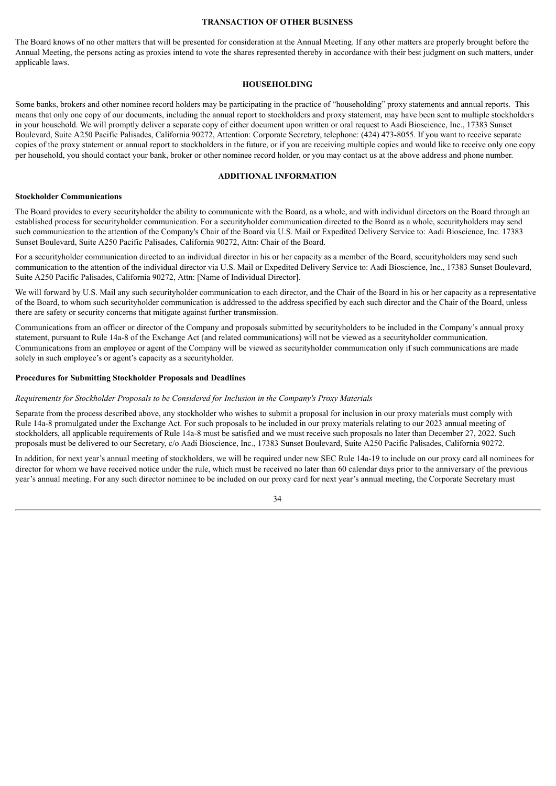#### **TRANSACTION OF OTHER BUSINESS**

<span id="page-38-0"></span>The Board knows of no other matters that will be presented for consideration at the Annual Meeting. If any other matters are properly brought before the Annual Meeting, the persons acting as proxies intend to vote the shares represented thereby in accordance with their best judgment on such matters, under applicable laws.

# **HOUSEHOLDING**

Some banks, brokers and other nominee record holders may be participating in the practice of "householding" proxy statements and annual reports. This means that only one copy of our documents, including the annual report to stockholders and proxy statement, may have been sent to multiple stockholders in your household. We will promptly deliver a separate copy of either document upon written or oral request to Aadi Bioscience, Inc., 17383 Sunset Boulevard, Suite A250 Pacific Palisades, California 90272, Attention: Corporate Secretary, telephone: (424) 473-8055. If you want to receive separate copies of the proxy statement or annual report to stockholders in the future, or if you are receiving multiple copies and would like to receive only one copy per household, you should contact your bank, broker or other nominee record holder, or you may contact us at the above address and phone number.

#### **ADDITIONAL INFORMATION**

#### <span id="page-38-1"></span>**Stockholder Communications**

The Board provides to every securityholder the ability to communicate with the Board, as a whole, and with individual directors on the Board through an established process for securityholder communication. For a securityholder communication directed to the Board as a whole, securityholders may send such communication to the attention of the Company's Chair of the Board via U.S. Mail or Expedited Delivery Service to: Aadi Bioscience, Inc. 17383 Sunset Boulevard, Suite A250 Pacific Palisades, California 90272, Attn: Chair of the Board.

For a securityholder communication directed to an individual director in his or her capacity as a member of the Board, securityholders may send such communication to the attention of the individual director via U.S. Mail or Expedited Delivery Service to: Aadi Bioscience, Inc., 17383 Sunset Boulevard, Suite A250 Pacific Palisades, California 90272, Attn: [Name of Individual Director].

We will forward by U.S. Mail any such securityholder communication to each director, and the Chair of the Board in his or her capacity as a representative of the Board, to whom such securityholder communication is addressed to the address specified by each such director and the Chair of the Board, unless there are safety or security concerns that mitigate against further transmission.

Communications from an officer or director of the Company and proposals submitted by securityholders to be included in the Company's annual proxy statement, pursuant to Rule 14a-8 of the Exchange Act (and related communications) will not be viewed as a securityholder communication. Communications from an employee or agent of the Company will be viewed as securityholder communication only if such communications are made solely in such employee's or agent's capacity as a securityholder.

#### **Procedures for Submitting Stockholder Proposals and Deadlines**

#### *Requirements for Stockholder Proposals to be Considered for Inclusion in the Company's Proxy Materials*

Separate from the process described above, any stockholder who wishes to submit a proposal for inclusion in our proxy materials must comply with Rule 14a-8 promulgated under the Exchange Act. For such proposals to be included in our proxy materials relating to our 2023 annual meeting of stockholders, all applicable requirements of Rule 14a-8 must be satisfied and we must receive such proposals no later than December 27, 2022. Such proposals must be delivered to our Secretary, c/o Aadi Bioscience, Inc., 17383 Sunset Boulevard, Suite A250 Pacific Palisades, California 90272.

In addition, for next year's annual meeting of stockholders, we will be required under new SEC Rule 14a-19 to include on our proxy card all nominees for director for whom we have received notice under the rule, which must be received no later than 60 calendar days prior to the anniversary of the previous year's annual meeting. For any such director nominee to be included on our proxy card for next year's annual meeting, the Corporate Secretary must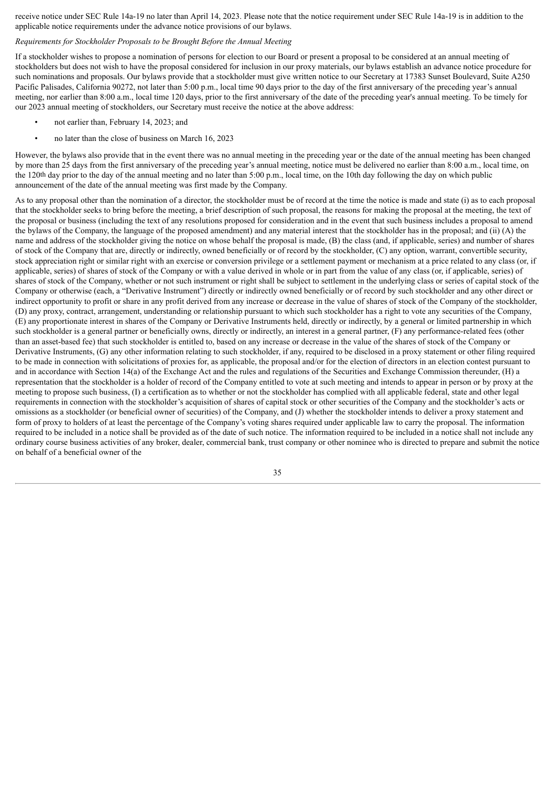receive notice under SEC Rule 14a-19 no later than April 14, 2023. Please note that the notice requirement under SEC Rule 14a-19 is in addition to the applicable notice requirements under the advance notice provisions of our bylaws.

#### *Requirements for Stockholder Proposals to be Brought Before the Annual Meeting*

If a stockholder wishes to propose a nomination of persons for election to our Board or present a proposal to be considered at an annual meeting of stockholders but does not wish to have the proposal considered for inclusion in our proxy materials, our bylaws establish an advance notice procedure for such nominations and proposals. Our bylaws provide that a stockholder must give written notice to our Secretary at 17383 Sunset Boulevard, Suite A250 Pacific Palisades, California 90272, not later than 5:00 p.m., local time 90 days prior to the day of the first anniversary of the preceding year's annual meeting, nor earlier than 8:00 a.m., local time 120 days, prior to the first anniversary of the date of the preceding year's annual meeting. To be timely for our 2023 annual meeting of stockholders, our Secretary must receive the notice at the above address:

- not earlier than, February 14, 2023; and
- no later than the close of business on March 16, 2023

However, the bylaws also provide that in the event there was no annual meeting in the preceding year or the date of the annual meeting has been changed by more than 25 days from the first anniversary of the preceding year's annual meeting, notice must be delivered no earlier than 8:00 a.m., local time, on the 120th day prior to the day of the annual meeting and no later than 5:00 p.m., local time, on the 10th day following the day on which public announcement of the date of the annual meeting was first made by the Company.

As to any proposal other than the nomination of a director, the stockholder must be of record at the time the notice is made and state (i) as to each proposal that the stockholder seeks to bring before the meeting, a brief description of such proposal, the reasons for making the proposal at the meeting, the text of the proposal or business (including the text of any resolutions proposed for consideration and in the event that such business includes a proposal to amend the bylaws of the Company, the language of the proposed amendment) and any material interest that the stockholder has in the proposal; and (ii) (A) the name and address of the stockholder giving the notice on whose behalf the proposal is made, (B) the class (and, if applicable, series) and number of shares of stock of the Company that are, directly or indirectly, owned beneficially or of record by the stockholder, (C) any option, warrant, convertible security, stock appreciation right or similar right with an exercise or conversion privilege or a settlement payment or mechanism at a price related to any class (or, if applicable, series) of shares of stock of the Company or with a value derived in whole or in part from the value of any class (or, if applicable, series) of shares of stock of the Company, whether or not such instrument or right shall be subject to settlement in the underlying class or series of capital stock of the Company or otherwise (each, a "Derivative Instrument") directly or indirectly owned beneficially or of record by such stockholder and any other direct or indirect opportunity to profit or share in any profit derived from any increase or decrease in the value of shares of stock of the Company of the stockholder, (D) any proxy, contract, arrangement, understanding or relationship pursuant to which such stockholder has a right to vote any securities of the Company, (E) any proportionate interest in shares of the Company or Derivative Instruments held, directly or indirectly, by a general or limited partnership in which such stockholder is a general partner or beneficially owns, directly or indirectly, an interest in a general partner, (F) any performance-related fees (other than an asset-based fee) that such stockholder is entitled to, based on any increase or decrease in the value of the shares of stock of the Company or Derivative Instruments, (G) any other information relating to such stockholder, if any, required to be disclosed in a proxy statement or other filing required to be made in connection with solicitations of proxies for, as applicable, the proposal and/or for the election of directors in an election contest pursuant to and in accordance with Section 14(a) of the Exchange Act and the rules and regulations of the Securities and Exchange Commission thereunder, (H) a representation that the stockholder is a holder of record of the Company entitled to vote at such meeting and intends to appear in person or by proxy at the meeting to propose such business, (I) a certification as to whether or not the stockholder has complied with all applicable federal, state and other legal requirements in connection with the stockholder's acquisition of shares of capital stock or other securities of the Company and the stockholder's acts or omissions as a stockholder (or beneficial owner of securities) of the Company, and (J) whether the stockholder intends to deliver a proxy statement and form of proxy to holders of at least the percentage of the Company's voting shares required under applicable law to carry the proposal. The information required to be included in a notice shall be provided as of the date of such notice. The information required to be included in a notice shall not include any ordinary course business activities of any broker, dealer, commercial bank, trust company or other nominee who is directed to prepare and submit the notice on behalf of a beneficial owner of the

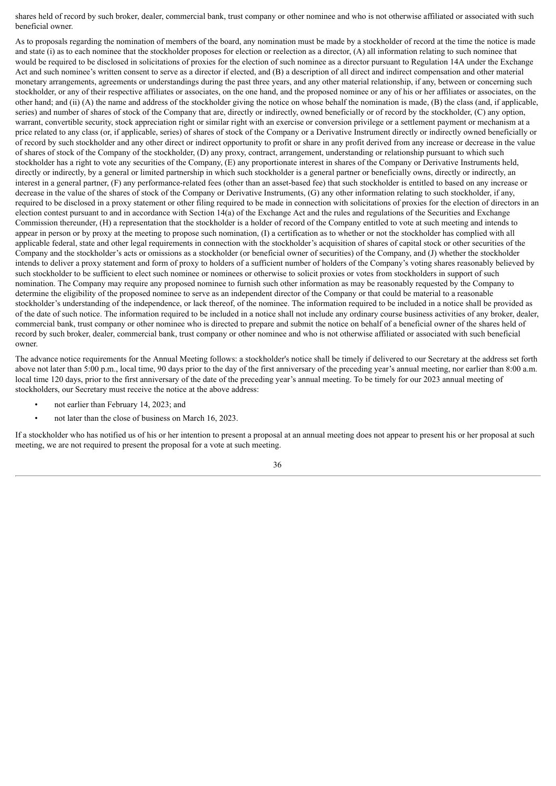shares held of record by such broker, dealer, commercial bank, trust company or other nominee and who is not otherwise affiliated or associated with such beneficial owner.

As to proposals regarding the nomination of members of the board, any nomination must be made by a stockholder of record at the time the notice is made and state (i) as to each nominee that the stockholder proposes for election or reelection as a director, (A) all information relating to such nominee that would be required to be disclosed in solicitations of proxies for the election of such nominee as a director pursuant to Regulation 14A under the Exchange Act and such nominee's written consent to serve as a director if elected, and (B) a description of all direct and indirect compensation and other material monetary arrangements, agreements or understandings during the past three years, and any other material relationship, if any, between or concerning such stockholder, or any of their respective affiliates or associates, on the one hand, and the proposed nominee or any of his or her affiliates or associates, on the other hand; and (ii) (A) the name and address of the stockholder giving the notice on whose behalf the nomination is made, (B) the class (and, if applicable, series) and number of shares of stock of the Company that are, directly or indirectly, owned beneficially or of record by the stockholder, (C) any option, warrant, convertible security, stock appreciation right or similar right with an exercise or conversion privilege or a settlement payment or mechanism at a price related to any class (or, if applicable, series) of shares of stock of the Company or a Derivative Instrument directly or indirectly owned beneficially or of record by such stockholder and any other direct or indirect opportunity to profit or share in any profit derived from any increase or decrease in the value of shares of stock of the Company of the stockholder, (D) any proxy, contract, arrangement, understanding or relationship pursuant to which such stockholder has a right to vote any securities of the Company, (E) any proportionate interest in shares of the Company or Derivative Instruments held, directly or indirectly, by a general or limited partnership in which such stockholder is a general partner or beneficially owns, directly or indirectly, an interest in a general partner, (F) any performance-related fees (other than an asset-based fee) that such stockholder is entitled to based on any increase or decrease in the value of the shares of stock of the Company or Derivative Instruments, (G) any other information relating to such stockholder, if any, required to be disclosed in a proxy statement or other filing required to be made in connection with solicitations of proxies for the election of directors in an election contest pursuant to and in accordance with Section 14(a) of the Exchange Act and the rules and regulations of the Securities and Exchange Commission thereunder, (H) a representation that the stockholder is a holder of record of the Company entitled to vote at such meeting and intends to appear in person or by proxy at the meeting to propose such nomination, (I) a certification as to whether or not the stockholder has complied with all applicable federal, state and other legal requirements in connection with the stockholder's acquisition of shares of capital stock or other securities of the Company and the stockholder's acts or omissions as a stockholder (or beneficial owner of securities) of the Company, and (J) whether the stockholder intends to deliver a proxy statement and form of proxy to holders of a sufficient number of holders of the Company's voting shares reasonably believed by such stockholder to be sufficient to elect such nominee or nominees or otherwise to solicit proxies or votes from stockholders in support of such nomination. The Company may require any proposed nominee to furnish such other information as may be reasonably requested by the Company to determine the eligibility of the proposed nominee to serve as an independent director of the Company or that could be material to a reasonable stockholder's understanding of the independence, or lack thereof, of the nominee. The information required to be included in a notice shall be provided as of the date of such notice. The information required to be included in a notice shall not include any ordinary course business activities of any broker, dealer, commercial bank, trust company or other nominee who is directed to prepare and submit the notice on behalf of a beneficial owner of the shares held of record by such broker, dealer, commercial bank, trust company or other nominee and who is not otherwise affiliated or associated with such beneficial owner.

The advance notice requirements for the Annual Meeting follows: a stockholder's notice shall be timely if delivered to our Secretary at the address set forth above not later than 5:00 p.m., local time, 90 days prior to the day of the first anniversary of the preceding year's annual meeting, nor earlier than 8:00 a.m. local time 120 days, prior to the first anniversary of the date of the preceding year's annual meeting. To be timely for our 2023 annual meeting of stockholders, our Secretary must receive the notice at the above address:

- not earlier than February 14, 2023; and
- not later than the close of business on March 16, 2023.

If a stockholder who has notified us of his or her intention to present a proposal at an annual meeting does not appear to present his or her proposal at such meeting, we are not required to present the proposal for a vote at such meeting.

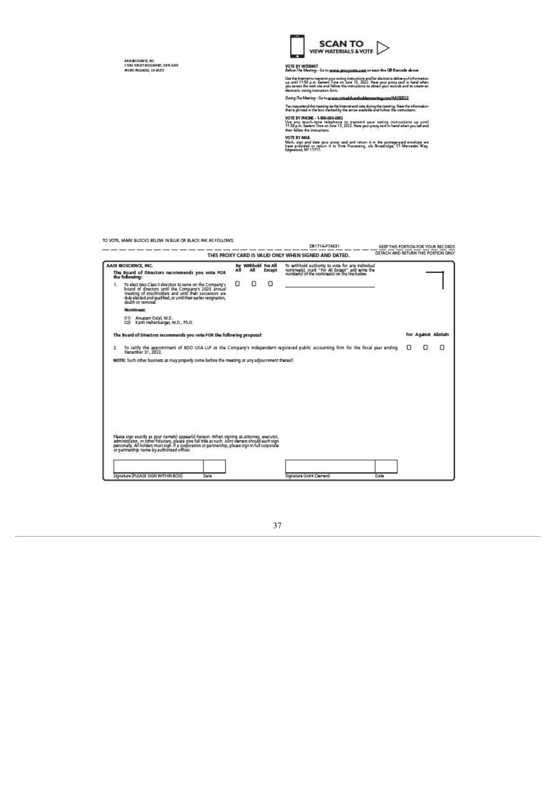AADI BOSDAVIS, WC<br>17982 SUNST BOULDARD, SUIT A250<br>MCRCMUSADES, CA 80272



# VOTE BY INTERNET<br>*Before The Meeting* - Go to <u>www.proxynade.com</u> or sawn the QR Barcade above

Use the internet to trenamity our voting instructions and for electronic delivery of information<br>up until 11:59 p.m. Seatern Time on June 13, 2022. Here your proxy part in hand when<br>you access the web site and follow the

During The Meeting - Go to se www.virtualshareholdermeeting.com/AADD032

You may attend the meeting via the Internet and vote during the meeting. Here the information<br>that is printed in the box mested by the amow available and follow the instructions.

VOTE BY PHONE - 1-800-690-6903<br>Use any touch-tene telephone to transmit your voting instructions up until<br>11:59 p.m. Eastern Tene on Jane 13, 2022. Have your program! in hand when you call and<br>then follow the instructions.

with ENY MAIL<br>Work, sign and data your proxy card and return it in the postage-paid envelope we<br>have provided or return it to Vote Processing, ofo Broadhdge, S1 Mercedes Way,<br>Edgewood, NY 11717.

TO VOTE, MARK BLOCKS BELOW IN BLUE OR BLACK INK AS FOLLOWS: